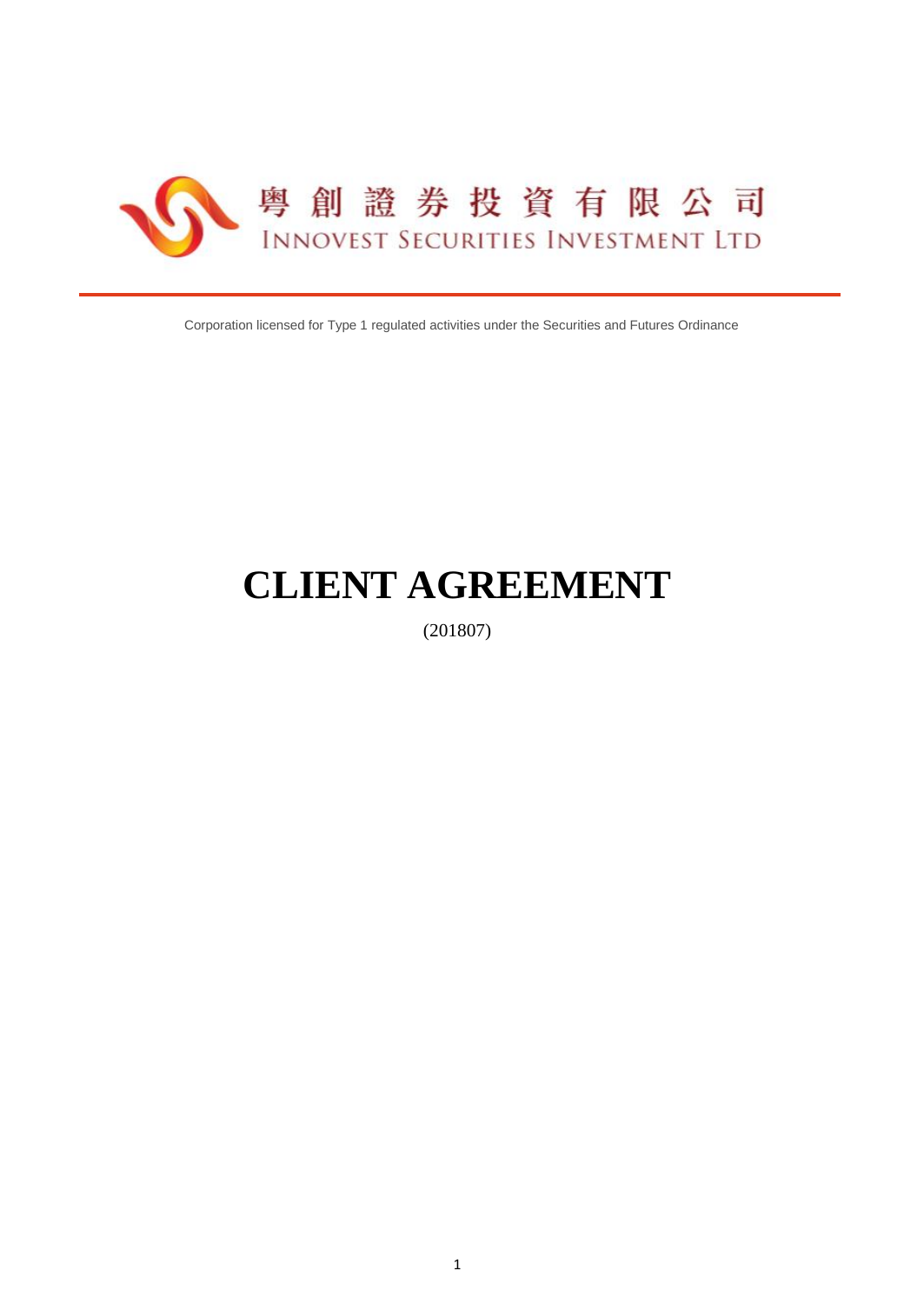

Corporation licensed for Type 1 regulated activities under the Securities and Futures Ordinance

# **CLIENT AGREEMENT**

(201807)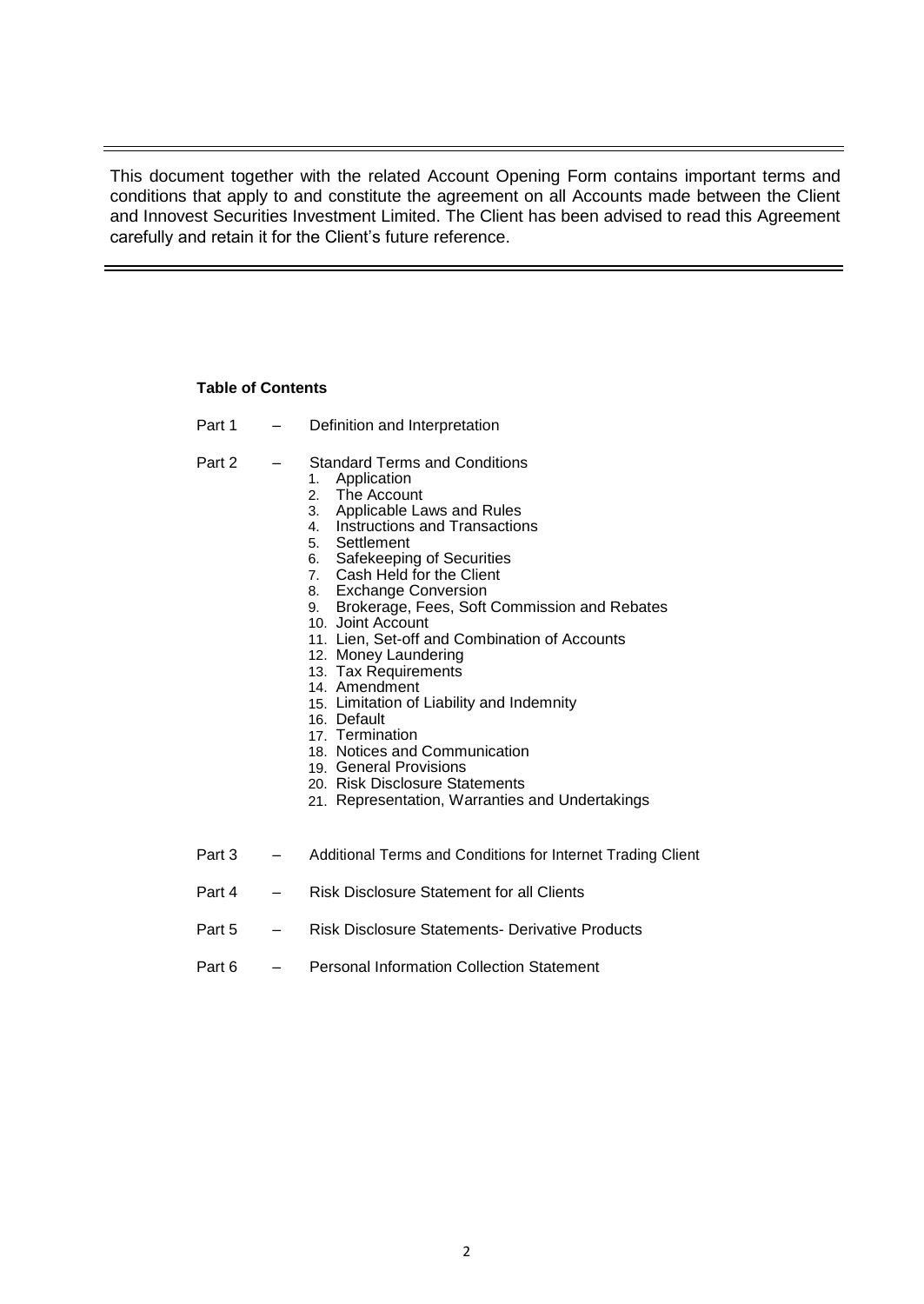This document together with the related Account Opening Form contains important terms and conditions that apply to and constitute the agreement on all Accounts made between the Client and Innovest Securities Investment Limited. The Client has been advised to read this Agreement carefully and retain it for the Client's future reference.

# **Table of Contents**

- Part 1 Definition and Interpretation
- Part 2 Standard Terms and Conditions
	-
	- 1. Application<br>2. The Accour The Account
	- 3. Applicable Laws and Rules
	- 4. Instructions and Transactions<br>5. Settlement
	- **Settlement**
	- 6. Safekeeping of Securities
	- 7. Cash Held for the Client
	- 8. Exchange Conversion
	- 9. Brokerage, Fees, Soft Commission and Rebates
	- 10. Joint Account
	- 11. Lien, Set-off and Combination of Accounts
	- 12. Money Laundering
	- 13. Tax Requirements
	- 14. Amendment
	- 15. Limitation of Liability and Indemnity
	- 16. Default
	- 17. Termination
	- 18. Notices and Communication
	- 19. General Provisions
	- 20. Risk Disclosure Statements
	- 21. Representation, Warranties and Undertakings
- Part 3 Additional Terms and Conditions for Internet Trading Client
- Part 4 Risk Disclosure Statement for all Clients
- Part 5 Risk Disclosure Statements- Derivative Products
- Part 6 Personal Information Collection Statement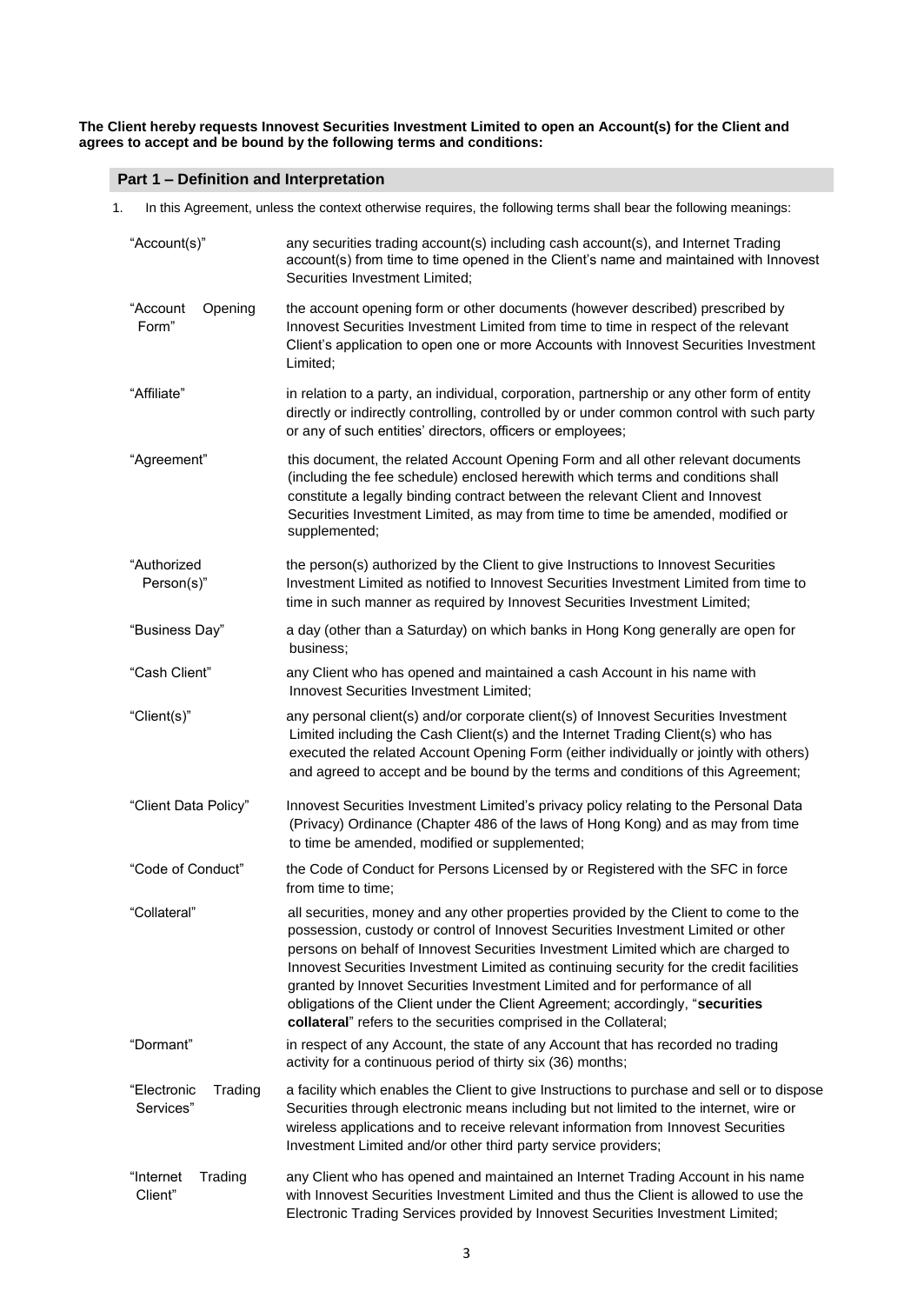**The Client hereby requests Innovest Securities Investment Limited to open an Account(s) for the Client and agrees to accept and be bound by the following terms and conditions:**

# **Part 1 – Definition and Interpretation**

| In this Agreement, unless the context otherwise requires, the following terms shall bear the following meanings:<br>1. |                                     |                                                                                                                                                                                                                                                                                                                                                                                                                                                                                                                                                                                                |
|------------------------------------------------------------------------------------------------------------------------|-------------------------------------|------------------------------------------------------------------------------------------------------------------------------------------------------------------------------------------------------------------------------------------------------------------------------------------------------------------------------------------------------------------------------------------------------------------------------------------------------------------------------------------------------------------------------------------------------------------------------------------------|
|                                                                                                                        | "Account(s)"                        | any securities trading account(s) including cash account(s), and Internet Trading<br>account(s) from time to time opened in the Client's name and maintained with Innovest<br>Securities Investment Limited;                                                                                                                                                                                                                                                                                                                                                                                   |
|                                                                                                                        | "Account<br>Opening<br>Form"        | the account opening form or other documents (however described) prescribed by<br>Innovest Securities Investment Limited from time to time in respect of the relevant<br>Client's application to open one or more Accounts with Innovest Securities Investment<br>Limited;                                                                                                                                                                                                                                                                                                                      |
|                                                                                                                        | "Affiliate"                         | in relation to a party, an individual, corporation, partnership or any other form of entity<br>directly or indirectly controlling, controlled by or under common control with such party<br>or any of such entities' directors, officers or employees;                                                                                                                                                                                                                                                                                                                                         |
|                                                                                                                        | "Agreement"                         | this document, the related Account Opening Form and all other relevant documents<br>(including the fee schedule) enclosed herewith which terms and conditions shall<br>constitute a legally binding contract between the relevant Client and Innovest<br>Securities Investment Limited, as may from time to time be amended, modified or<br>supplemented;                                                                                                                                                                                                                                      |
|                                                                                                                        | "Authorized<br>Person(s)"           | the person(s) authorized by the Client to give Instructions to Innovest Securities<br>Investment Limited as notified to Innovest Securities Investment Limited from time to<br>time in such manner as required by Innovest Securities Investment Limited;                                                                                                                                                                                                                                                                                                                                      |
|                                                                                                                        | "Business Day"                      | a day (other than a Saturday) on which banks in Hong Kong generally are open for<br>business;                                                                                                                                                                                                                                                                                                                                                                                                                                                                                                  |
|                                                                                                                        | "Cash Client"                       | any Client who has opened and maintained a cash Account in his name with<br>Innovest Securities Investment Limited;                                                                                                                                                                                                                                                                                                                                                                                                                                                                            |
|                                                                                                                        | "Client(s)"                         | any personal client(s) and/or corporate client(s) of Innovest Securities Investment<br>Limited including the Cash Client(s) and the Internet Trading Client(s) who has<br>executed the related Account Opening Form (either individually or jointly with others)<br>and agreed to accept and be bound by the terms and conditions of this Agreement;                                                                                                                                                                                                                                           |
|                                                                                                                        | "Client Data Policy"                | Innovest Securities Investment Limited's privacy policy relating to the Personal Data<br>(Privacy) Ordinance (Chapter 486 of the laws of Hong Kong) and as may from time<br>to time be amended, modified or supplemented;                                                                                                                                                                                                                                                                                                                                                                      |
|                                                                                                                        | "Code of Conduct"                   | the Code of Conduct for Persons Licensed by or Registered with the SFC in force<br>from time to time:                                                                                                                                                                                                                                                                                                                                                                                                                                                                                          |
|                                                                                                                        | "Collateral"                        | all securities, money and any other properties provided by the Client to come to the<br>possession, custody or control of Innovest Securities Investment Limited or other<br>persons on behalf of Innovest Securities Investment Limited which are charged to<br>Innovest Securities Investment Limited as continuing security for the credit facilities<br>granted by Innovet Securities Investment Limited and for performance of all<br>obligations of the Client under the Client Agreement; accordingly, "securities<br>collateral" refers to the securities comprised in the Collateral; |
|                                                                                                                        | "Dormant"                           | in respect of any Account, the state of any Account that has recorded no trading<br>activity for a continuous period of thirty six (36) months;                                                                                                                                                                                                                                                                                                                                                                                                                                                |
|                                                                                                                        | "Electronic<br>Trading<br>Services" | a facility which enables the Client to give Instructions to purchase and sell or to dispose<br>Securities through electronic means including but not limited to the internet, wire or<br>wireless applications and to receive relevant information from Innovest Securities<br>Investment Limited and/or other third party service providers;                                                                                                                                                                                                                                                  |
|                                                                                                                        | "Internet<br>Trading<br>Client"     | any Client who has opened and maintained an Internet Trading Account in his name<br>with Innovest Securities Investment Limited and thus the Client is allowed to use the<br>Electronic Trading Services provided by Innovest Securities Investment Limited;                                                                                                                                                                                                                                                                                                                                   |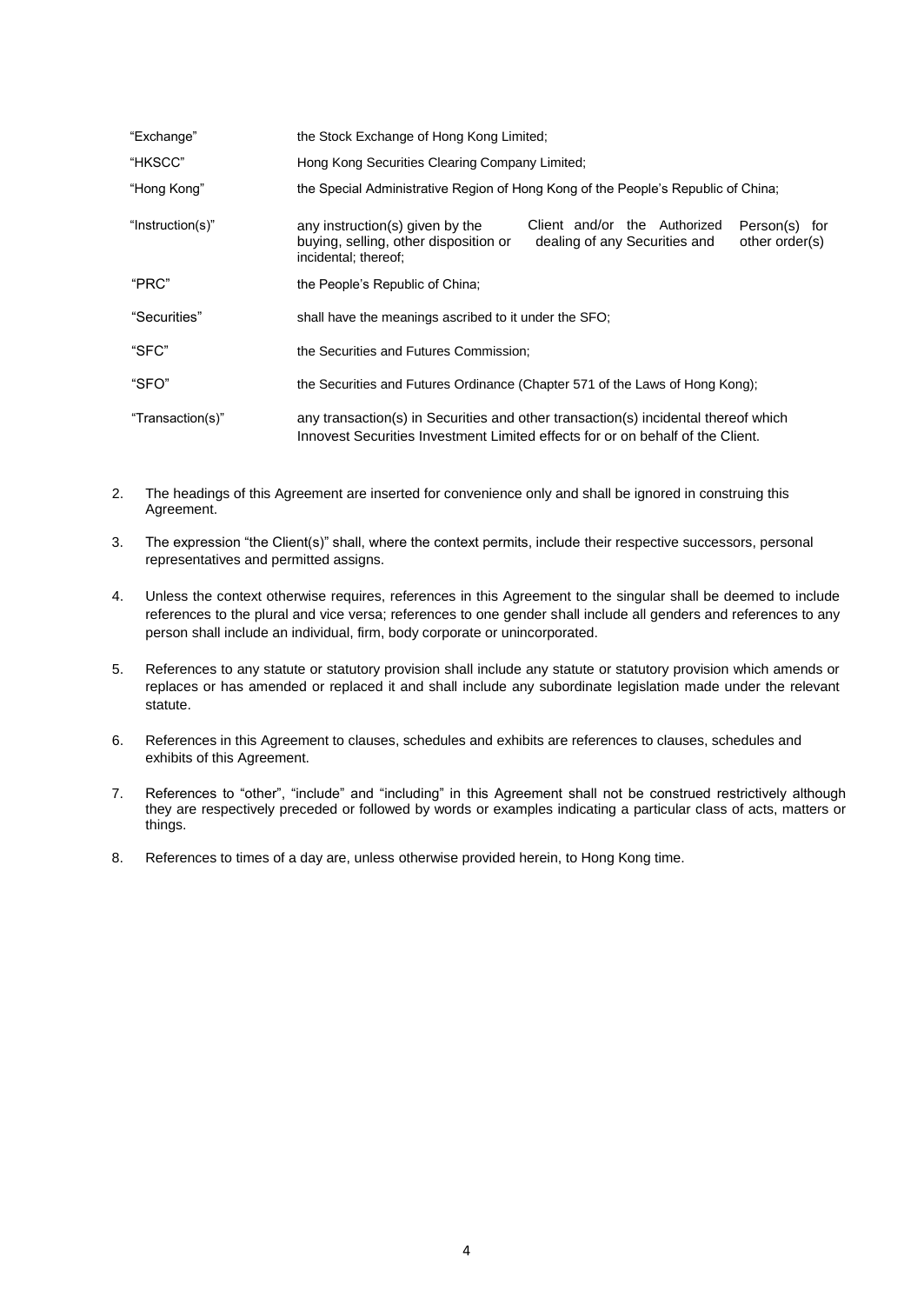| "Exchange"       | the Stock Exchange of Hong Kong Limited;                                                                                                                                                             |
|------------------|------------------------------------------------------------------------------------------------------------------------------------------------------------------------------------------------------|
| "HKSCC"          | Hong Kong Securities Clearing Company Limited;                                                                                                                                                       |
| "Hong Kong"      | the Special Administrative Region of Hong Kong of the People's Republic of China;                                                                                                                    |
| "Instruction(s)" | Client and/or the Authorized<br>any instruction(s) given by the<br>Person(s) for<br>buying, selling, other disposition or<br>dealing of any Securities and<br>other order(s)<br>incidental; thereof; |
| "PRC"            | the People's Republic of China;                                                                                                                                                                      |
| "Securities"     | shall have the meanings ascribed to it under the SFO;                                                                                                                                                |
| "SFC"            | the Securities and Futures Commission:                                                                                                                                                               |
| "SFO"            | the Securities and Futures Ordinance (Chapter 571 of the Laws of Hong Kong);                                                                                                                         |
| "Transaction(s)" | any transaction(s) in Securities and other transaction(s) incidental thereof which<br>Innovest Securities Investment Limited effects for or on behalf of the Client.                                 |

- 2. The headings of this Agreement are inserted for convenience only and shall be ignored in construing this Agreement.
- 3. The expression "the Client(s)" shall, where the context permits, include their respective successors, personal representatives and permitted assigns.
- 4. Unless the context otherwise requires, references in this Agreement to the singular shall be deemed to include references to the plural and vice versa; references to one gender shall include all genders and references to any person shall include an individual, firm, body corporate or unincorporated.
- 5. References to any statute or statutory provision shall include any statute or statutory provision which amends or replaces or has amended or replaced it and shall include any subordinate legislation made under the relevant statute.
- 6. References in this Agreement to clauses, schedules and exhibits are references to clauses, schedules and exhibits of this Agreement.
- 7. References to "other", "include" and "including" in this Agreement shall not be construed restrictively although they are respectively preceded or followed by words or examples indicating a particular class of acts, matters or things.
- 8. References to times of a day are, unless otherwise provided herein, to Hong Kong time.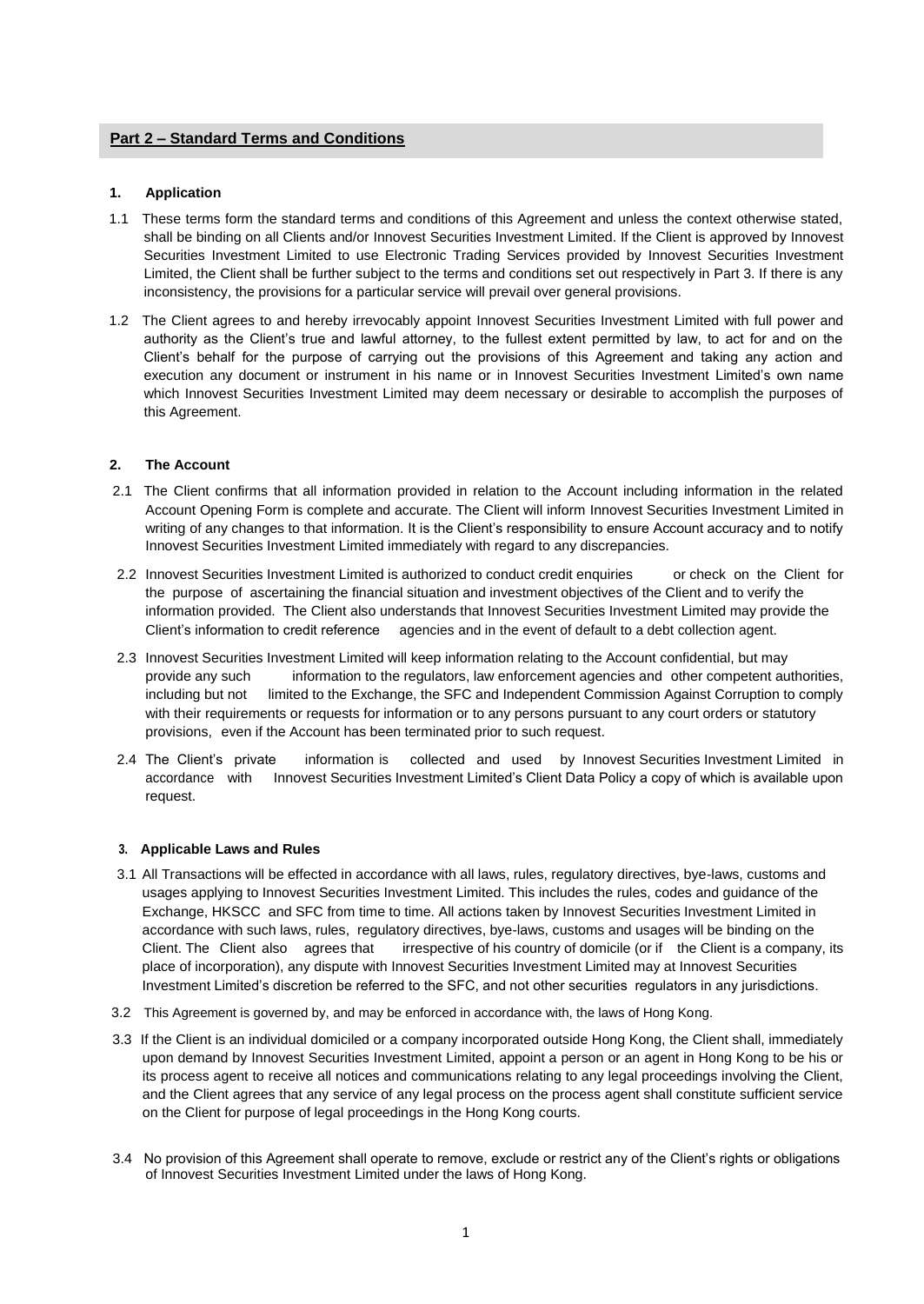# **Part 2 – Standard Terms and Conditions**

# **1. Application**

- 1.1 These terms form the standard terms and conditions of this Agreement and unless the context otherwise stated, shall be binding on all Clients and/or Innovest Securities Investment Limited. If the Client is approved by Innovest Securities Investment Limited to use Electronic Trading Services provided by Innovest Securities Investment Limited, the Client shall be further subject to the terms and conditions set out respectively in Part 3. If there is any inconsistency, the provisions for a particular service will prevail over general provisions.
- 1.2 The Client agrees to and hereby irrevocably appoint Innovest Securities Investment Limited with full power and authority as the Client's true and lawful attorney, to the fullest extent permitted by law, to act for and on the Client's behalf for the purpose of carrying out the provisions of this Agreement and taking any action and execution any document or instrument in his name or in Innovest Securities Investment Limited's own name which Innovest Securities Investment Limited may deem necessary or desirable to accomplish the purposes of this Agreement.

# **2. The Account**

- 2.1 The Client confirms that all information provided in relation to the Account including information in the related Account Opening Form is complete and accurate. The Client will inform Innovest Securities Investment Limited in writing of any changes to that information. It is the Client's responsibility to ensure Account accuracy and to notify Innovest Securities Investment Limited immediately with regard to any discrepancies.
- 2.2 Innovest Securities Investment Limited is authorized to conduct credit enquiries or check on the Client for the purpose of ascertaining the financial situation and investment objectives of the Client and to verify the information provided. The Client also understands that Innovest Securities Investment Limited may provide the Client's information to credit reference agencies and in the event of default to a debt collection agent.
- 2.3 Innovest Securities Investment Limited will keep information relating to the Account confidential, but may provide any such information to the regulators, law enforcement agencies and other competent authorities, including but not limited to the Exchange, the SFC and Independent Commission Against Corruption to comply with their requirements or requests for information or to any persons pursuant to any court orders or statutory provisions, even if the Account has been terminated prior to such request.
- 2.4 The Client's private information is collected and used by Innovest Securities Investment Limited in accordance with Innovest Securities Investment Limited's Client Data Policy a copy of which is available upon request.

# **3. Applicable Laws and Rules**

- 3.1 All Transactions will be effected in accordance with all laws, rules, regulatory directives, bye-laws, customs and usages applying to Innovest Securities Investment Limited. This includes the rules, codes and guidance of the Exchange, HKSCC and SFC from time to time. All actions taken by Innovest Securities Investment Limited in accordance with such laws, rules, regulatory directives, bye-laws, customs and usages will be binding on the Client. The Client also agrees that irrespective of his country of domicile (or if the Client is a company, its place of incorporation), any dispute with Innovest Securities Investment Limited may at Innovest Securities Investment Limited's discretion be referred to the SFC, and not other securities regulators in any jurisdictions.
- 3.2 This Agreement is governed by, and may be enforced in accordance with, the laws of Hong Kong.
- 3.3 If the Client is an individual domiciled or a company incorporated outside Hong Kong, the Client shall, immediately upon demand by Innovest Securities Investment Limited, appoint a person or an agent in Hong Kong to be his or its process agent to receive all notices and communications relating to any legal proceedings involving the Client, and the Client agrees that any service of any legal process on the process agent shall constitute sufficient service on the Client for purpose of legal proceedings in the Hong Kong courts.
- 3.4 No provision of this Agreement shall operate to remove, exclude or restrict any of the Client's rights or obligations of Innovest Securities Investment Limited under the laws of Hong Kong.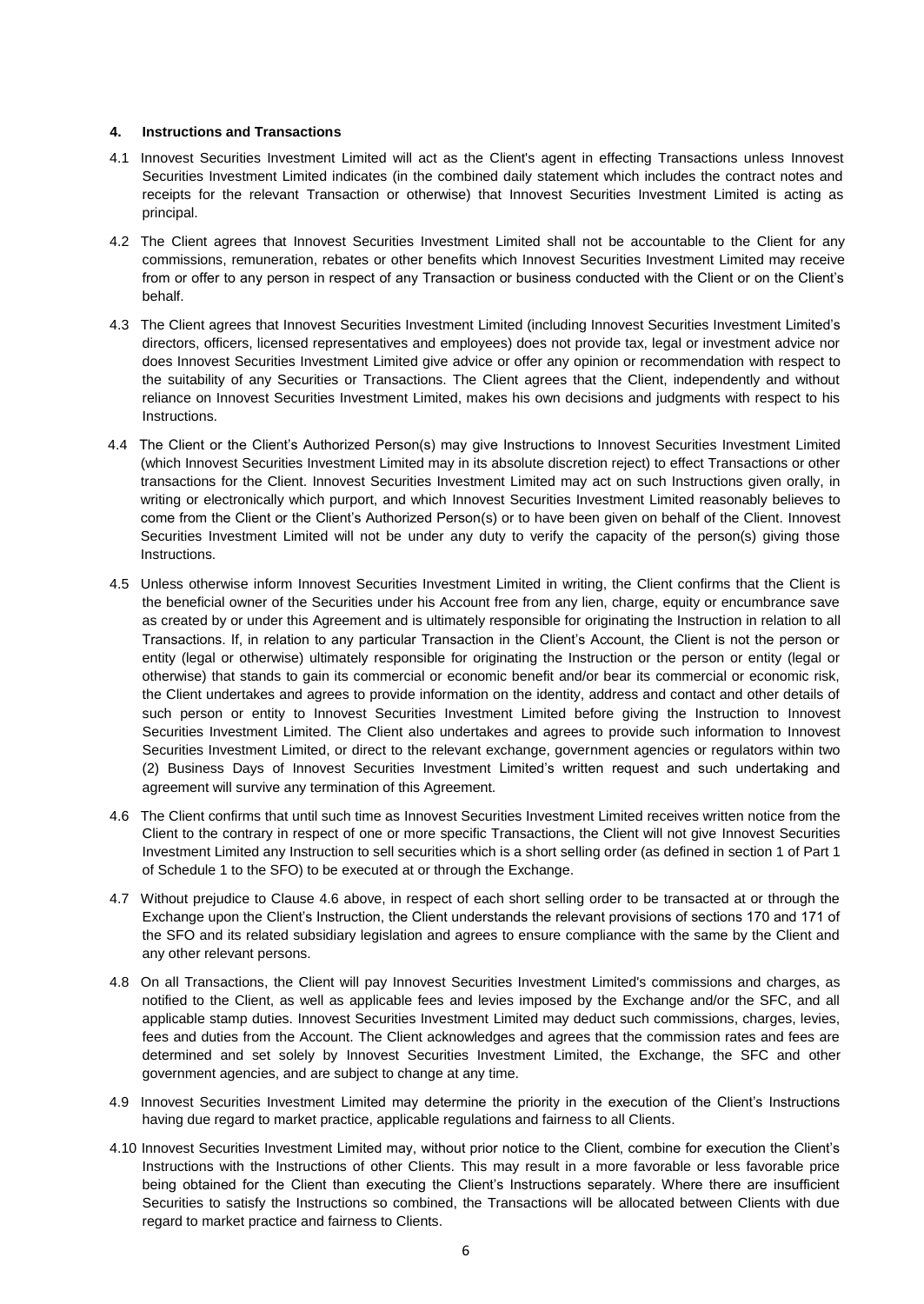# **4. Instructions and Transactions**

- 4.1 Innovest Securities Investment Limited will act as the Client's agent in effecting Transactions unless Innovest Securities Investment Limited indicates (in the combined daily statement which includes the contract notes and receipts for the relevant Transaction or otherwise) that Innovest Securities Investment Limited is acting as principal.
- 4.2 The Client agrees that Innovest Securities Investment Limited shall not be accountable to the Client for any commissions, remuneration, rebates or other benefits which Innovest Securities Investment Limited may receive from or offer to any person in respect of any Transaction or business conducted with the Client or on the Client's behalf.
- 4.3 The Client agrees that Innovest Securities Investment Limited (including Innovest Securities Investment Limited's directors, officers, licensed representatives and employees) does not provide tax, legal or investment advice nor does Innovest Securities Investment Limited give advice or offer any opinion or recommendation with respect to the suitability of any Securities or Transactions. The Client agrees that the Client, independently and without reliance on Innovest Securities Investment Limited, makes his own decisions and judgments with respect to his Instructions.
- 4.4 The Client or the Client's Authorized Person(s) may give Instructions to Innovest Securities Investment Limited (which Innovest Securities Investment Limited may in its absolute discretion reject) to effect Transactions or other transactions for the Client. Innovest Securities Investment Limited may act on such Instructions given orally, in writing or electronically which purport, and which Innovest Securities Investment Limited reasonably believes to come from the Client or the Client's Authorized Person(s) or to have been given on behalf of the Client. Innovest Securities Investment Limited will not be under any duty to verify the capacity of the person(s) giving those Instructions.
- 4.5 Unless otherwise inform Innovest Securities Investment Limited in writing, the Client confirms that the Client is the beneficial owner of the Securities under his Account free from any lien, charge, equity or encumbrance save as created by or under this Agreement and is ultimately responsible for originating the Instruction in relation to all Transactions. If, in relation to any particular Transaction in the Client's Account, the Client is not the person or entity (legal or otherwise) ultimately responsible for originating the Instruction or the person or entity (legal or otherwise) that stands to gain its commercial or economic benefit and/or bear its commercial or economic risk, the Client undertakes and agrees to provide information on the identity, address and contact and other details of such person or entity to Innovest Securities Investment Limited before giving the Instruction to Innovest Securities Investment Limited. The Client also undertakes and agrees to provide such information to Innovest Securities Investment Limited, or direct to the relevant exchange, government agencies or regulators within two (2) Business Days of Innovest Securities Investment Limited's written request and such undertaking and agreement will survive any termination of this Agreement.
- 4.6 The Client confirms that until such time as Innovest Securities Investment Limited receives written notice from the Client to the contrary in respect of one or more specific Transactions, the Client will not give Innovest Securities Investment Limited any Instruction to sell securities which is a short selling order (as defined in section 1 of Part 1 of Schedule 1 to the SFO) to be executed at or through the Exchange.
- 4.7 Without prejudice to Clause 4.6 above, in respect of each short selling order to be transacted at or through the Exchange upon the Client's Instruction, the Client understands the relevant provisions of sections 170 and 171 of the SFO and its related subsidiary legislation and agrees to ensure compliance with the same by the Client and any other relevant persons.
- 4.8 On all Transactions, the Client will pay Innovest Securities Investment Limited's commissions and charges, as notified to the Client, as well as applicable fees and levies imposed by the Exchange and/or the SFC, and all applicable stamp duties. Innovest Securities Investment Limited may deduct such commissions, charges, levies, fees and duties from the Account. The Client acknowledges and agrees that the commission rates and fees are determined and set solely by Innovest Securities Investment Limited, the Exchange, the SFC and other government agencies, and are subject to change at any time.
- 4.9 Innovest Securities Investment Limited may determine the priority in the execution of the Client's Instructions having due regard to market practice, applicable regulations and fairness to all Clients.
- 4.10 Innovest Securities Investment Limited may, without prior notice to the Client, combine for execution the Client's Instructions with the Instructions of other Clients. This may result in a more favorable or less favorable price being obtained for the Client than executing the Client's Instructions separately. Where there are insufficient Securities to satisfy the Instructions so combined, the Transactions will be allocated between Clients with due regard to market practice and fairness to Clients.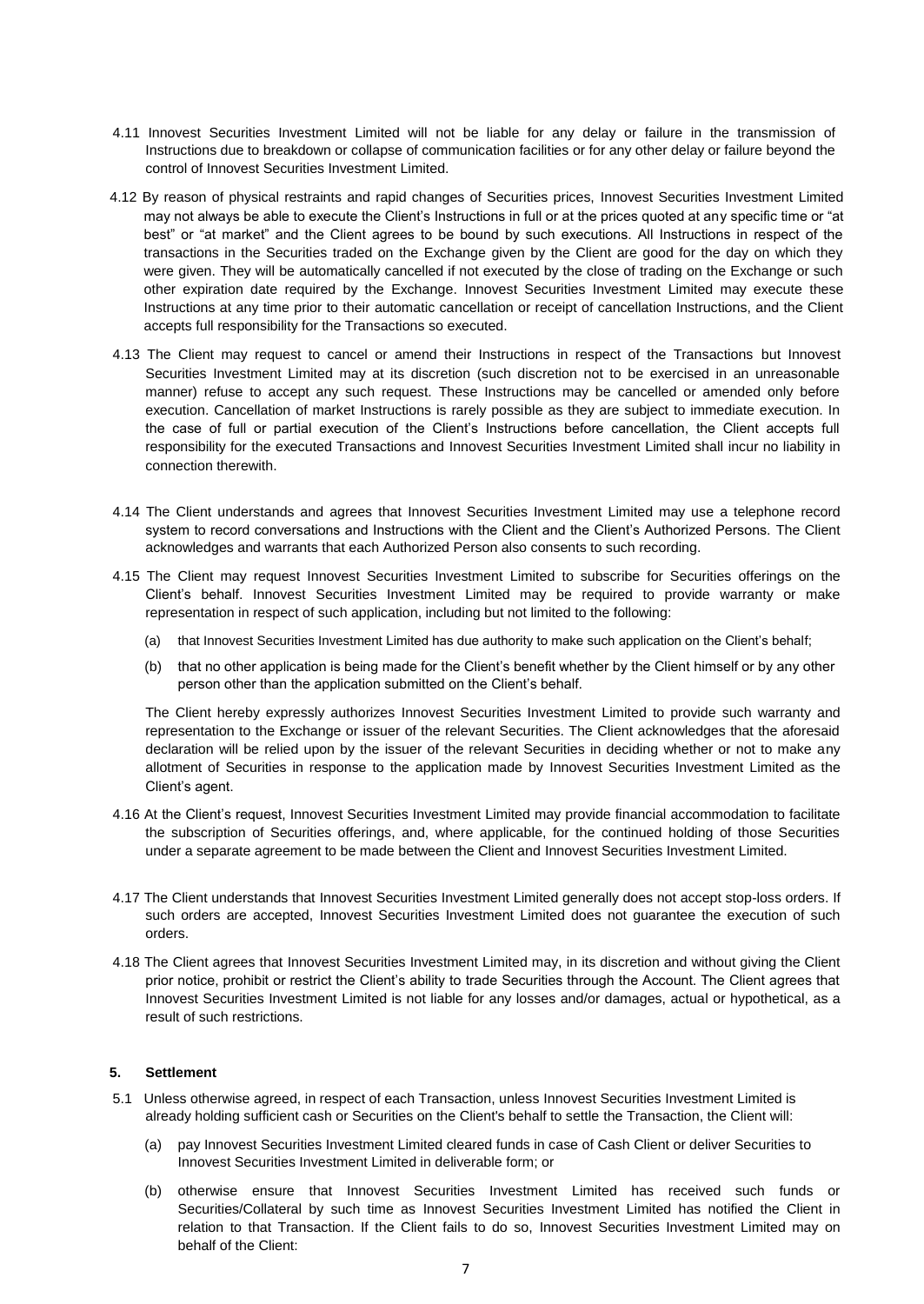- 4.11 Innovest Securities Investment Limited will not be liable for any delay or failure in the transmission of Instructions due to breakdown or collapse of communication facilities or for any other delay or failure beyond the control of Innovest Securities Investment Limited.
- 4.12 By reason of physical restraints and rapid changes of Securities prices, Innovest Securities Investment Limited may not always be able to execute the Client's Instructions in full or at the prices quoted at any specific time or "at best" or "at market" and the Client agrees to be bound by such executions. All Instructions in respect of the transactions in the Securities traded on the Exchange given by the Client are good for the day on which they were given. They will be automatically cancelled if not executed by the close of trading on the Exchange or such other expiration date required by the Exchange. Innovest Securities Investment Limited may execute these Instructions at any time prior to their automatic cancellation or receipt of cancellation Instructions, and the Client accepts full responsibility for the Transactions so executed.
- 4.13 The Client may request to cancel or amend their Instructions in respect of the Transactions but Innovest Securities Investment Limited may at its discretion (such discretion not to be exercised in an unreasonable manner) refuse to accept any such request. These Instructions may be cancelled or amended only before execution. Cancellation of market Instructions is rarely possible as they are subject to immediate execution. In the case of full or partial execution of the Client's Instructions before cancellation, the Client accepts full responsibility for the executed Transactions and Innovest Securities Investment Limited shall incur no liability in connection therewith.
- 4.14 The Client understands and agrees that Innovest Securities Investment Limited may use a telephone record system to record conversations and Instructions with the Client and the Client's Authorized Persons. The Client acknowledges and warrants that each Authorized Person also consents to such recording.
- 4.15 The Client may request Innovest Securities Investment Limited to subscribe for Securities offerings on the Client's behalf. Innovest Securities Investment Limited may be required to provide warranty or make representation in respect of such application, including but not limited to the following:
	- (a) that Innovest Securities Investment Limited has due authority to make such application on the Client's behalf;
	- (b) that no other application is being made for the Client's benefit whether by the Client himself or by any other person other than the application submitted on the Client's behalf.

The Client hereby expressly authorizes Innovest Securities Investment Limited to provide such warranty and representation to the Exchange or issuer of the relevant Securities. The Client acknowledges that the aforesaid declaration will be relied upon by the issuer of the relevant Securities in deciding whether or not to make any allotment of Securities in response to the application made by Innovest Securities Investment Limited as the Client's agent.

- 4.16 At the Client's request, Innovest Securities Investment Limited may provide financial accommodation to facilitate the subscription of Securities offerings, and, where applicable, for the continued holding of those Securities under a separate agreement to be made between the Client and Innovest Securities Investment Limited.
- 4.17 The Client understands that Innovest Securities Investment Limited generally does not accept stop-loss orders. If such orders are accepted, Innovest Securities Investment Limited does not guarantee the execution of such orders.
- 4.18 The Client agrees that Innovest Securities Investment Limited may, in its discretion and without giving the Client prior notice, prohibit or restrict the Client's ability to trade Securities through the Account. The Client agrees that Innovest Securities Investment Limited is not liable for any losses and/or damages, actual or hypothetical, as a result of such restrictions.

# **5. Settlement**

- 5.1 Unless otherwise agreed, in respect of each Transaction, unless Innovest Securities Investment Limited is already holding sufficient cash or Securities on the Client's behalf to settle the Transaction, the Client will:
	- (a) pay Innovest Securities Investment Limited cleared funds in case of Cash Client or deliver Securities to Innovest Securities Investment Limited in deliverable form; or
	- (b) otherwise ensure that Innovest Securities Investment Limited has received such funds or Securities/Collateral by such time as Innovest Securities Investment Limited has notified the Client in relation to that Transaction. If the Client fails to do so, Innovest Securities Investment Limited may on behalf of the Client: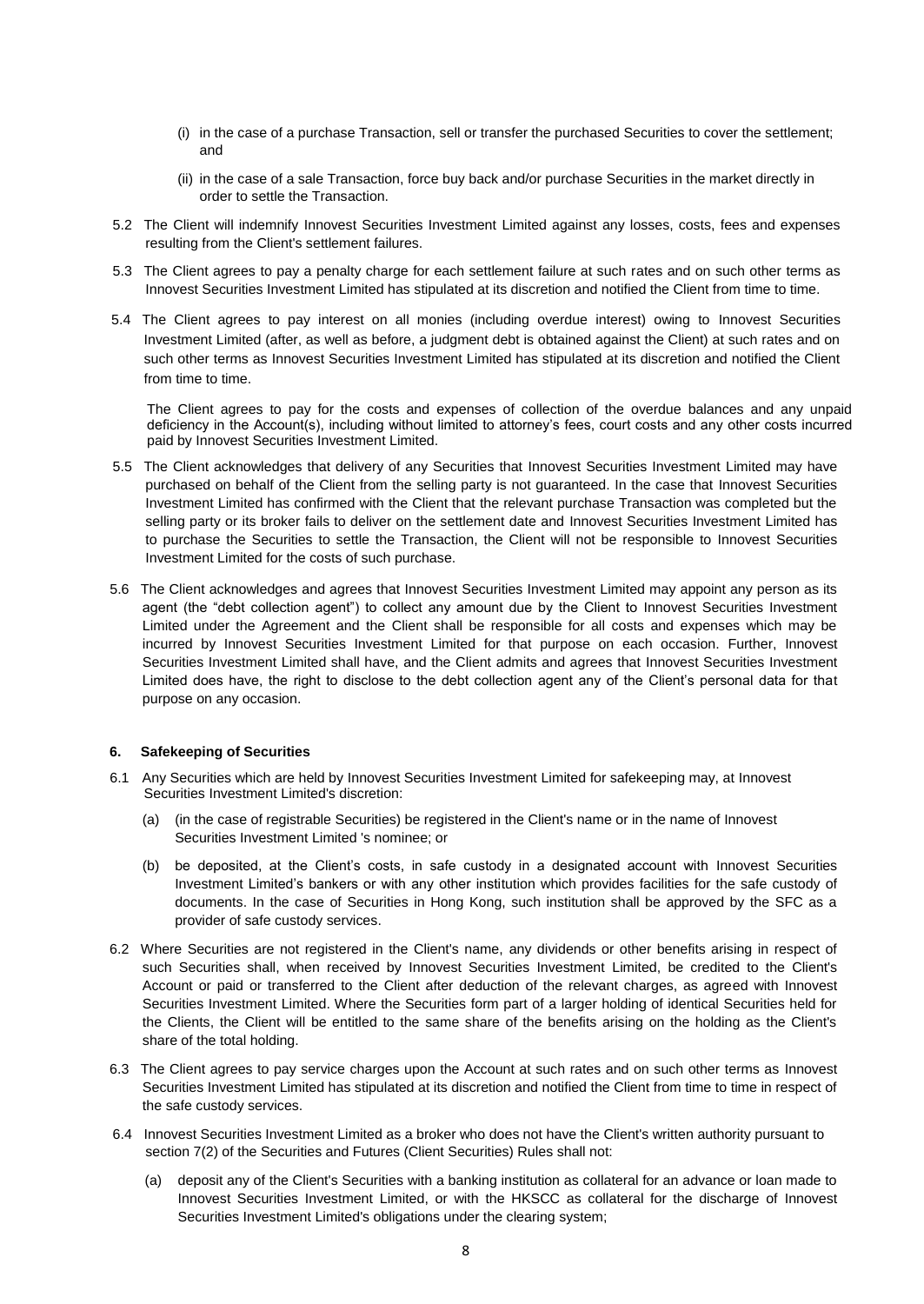- (i) in the case of a purchase Transaction, sell or transfer the purchased Securities to cover the settlement; and
- (ii) in the case of a sale Transaction, force buy back and/or purchase Securities in the market directly in order to settle the Transaction.
- 5.2 The Client will indemnify Innovest Securities Investment Limited against any losses, costs, fees and expenses resulting from the Client's settlement failures.
- 5.3 The Client agrees to pay a penalty charge for each settlement failure at such rates and on such other terms as Innovest Securities Investment Limited has stipulated at its discretion and notified the Client from time to time.
- 5.4 The Client agrees to pay interest on all monies (including overdue interest) owing to Innovest Securities Investment Limited (after, as well as before, a judgment debt is obtained against the Client) at such rates and on such other terms as Innovest Securities Investment Limited has stipulated at its discretion and notified the Client from time to time.

The Client agrees to pay for the costs and expenses of collection of the overdue balances and any unpaid deficiency in the Account(s), including without limited to attorney's fees, court costs and any other costs incurred paid by Innovest Securities Investment Limited.

- 5.5 The Client acknowledges that delivery of any Securities that Innovest Securities Investment Limited may have purchased on behalf of the Client from the selling party is not guaranteed. In the case that Innovest Securities Investment Limited has confirmed with the Client that the relevant purchase Transaction was completed but the selling party or its broker fails to deliver on the settlement date and Innovest Securities Investment Limited has to purchase the Securities to settle the Transaction, the Client will not be responsible to Innovest Securities Investment Limited for the costs of such purchase.
- 5.6 The Client acknowledges and agrees that Innovest Securities Investment Limited may appoint any person as its agent (the "debt collection agent") to collect any amount due by the Client to Innovest Securities Investment Limited under the Agreement and the Client shall be responsible for all costs and expenses which may be incurred by Innovest Securities Investment Limited for that purpose on each occasion. Further, Innovest Securities Investment Limited shall have, and the Client admits and agrees that Innovest Securities Investment Limited does have, the right to disclose to the debt collection agent any of the Client's personal data for that purpose on any occasion.

# **6. Safekeeping of Securities**

- 6.1 Any Securities which are held by Innovest Securities Investment Limited for safekeeping may, at Innovest Securities Investment Limited's discretion:
	- (a) (in the case of registrable Securities) be registered in the Client's name or in the name of Innovest Securities Investment Limited 's nominee; or
	- (b) be deposited, at the Client's costs, in safe custody in a designated account with Innovest Securities Investment Limited's bankers or with any other institution which provides facilities for the safe custody of documents. In the case of Securities in Hong Kong, such institution shall be approved by the SFC as a provider of safe custody services.
- 6.2 Where Securities are not registered in the Client's name, any dividends or other benefits arising in respect of such Securities shall, when received by Innovest Securities Investment Limited, be credited to the Client's Account or paid or transferred to the Client after deduction of the relevant charges, as agreed with Innovest Securities Investment Limited. Where the Securities form part of a larger holding of identical Securities held for the Clients, the Client will be entitled to the same share of the benefits arising on the holding as the Client's share of the total holding.
- 6.3 The Client agrees to pay service charges upon the Account at such rates and on such other terms as Innovest Securities Investment Limited has stipulated at its discretion and notified the Client from time to time in respect of the safe custody services.
- 6.4 Innovest Securities Investment Limited as a broker who does not have the Client's written authority pursuant to section 7(2) of the Securities and Futures (Client Securities) Rules shall not:
	- (a) deposit any of the Client's Securities with a banking institution as collateral for an advance or loan made to Innovest Securities Investment Limited, or with the HKSCC as collateral for the discharge of Innovest Securities Investment Limited's obligations under the clearing system;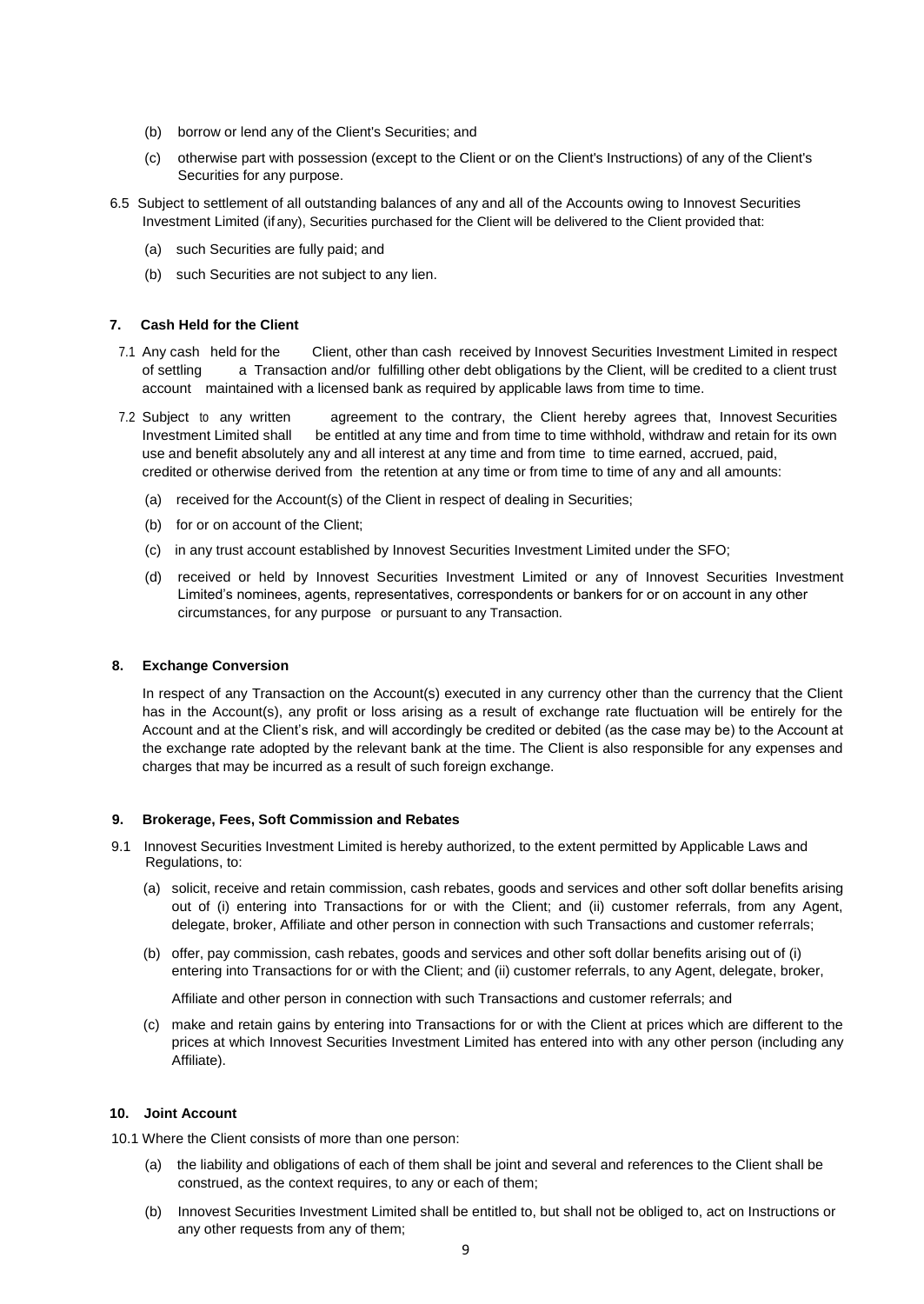- (b) borrow or lend any of the Client's Securities; and
- (c) otherwise part with possession (except to the Client or on the Client's Instructions) of any of the Client's Securities for any purpose.
- 6.5 Subject to settlement of all outstanding balances of any and all of the Accounts owing to Innovest Securities Investment Limited (if any), Securities purchased for the Client will be delivered to the Client provided that:
	- (a) such Securities are fully paid; and
	- (b) such Securities are not subject to any lien.

# **7. Cash Held for the Client**

- 7.1 Any cash held for the Client, other than cash received by Innovest Securities Investment Limited in respect of settling a Transaction and/or fulfilling other debt obligations by the Client, will be credited to a client trust account maintained with a licensed bank as required by applicable laws from time to time.
- 7.2 Subject to any written agreement to the contrary, the Client hereby agrees that, Innovest Securities Investment Limited shall be entitled at any time and from time to time withhold, withdraw and retain for its own use and benefit absolutely any and all interest at any time and from time to time earned, accrued, paid, credited or otherwise derived from the retention at any time or from time to time of any and all amounts:
	- (a) received for the Account(s) of the Client in respect of dealing in Securities;
	- (b) for or on account of the Client;
	- (c) in any trust account established by Innovest Securities Investment Limited under the SFO;
	- (d) received or held by Innovest Securities Investment Limited or any of Innovest Securities Investment Limited's nominees, agents, representatives, correspondents or bankers for or on account in any other circumstances, for any purpose or pursuant to any Transaction.

# **8. Exchange Conversion**

In respect of any Transaction on the Account(s) executed in any currency other than the currency that the Client has in the Account(s), any profit or loss arising as a result of exchange rate fluctuation will be entirely for the Account and at the Client's risk, and will accordingly be credited or debited (as the case may be) to the Account at the exchange rate adopted by the relevant bank at the time. The Client is also responsible for any expenses and charges that may be incurred as a result of such foreign exchange.

# **9. Brokerage, Fees, Soft Commission and Rebates**

- 9.1 Innovest Securities Investment Limited is hereby authorized, to the extent permitted by Applicable Laws and Regulations, to:
	- (a) solicit, receive and retain commission, cash rebates, goods and services and other soft dollar benefits arising out of (i) entering into Transactions for or with the Client; and (ii) customer referrals, from any Agent, delegate, broker, Affiliate and other person in connection with such Transactions and customer referrals;
	- (b) offer, pay commission, cash rebates, goods and services and other soft dollar benefits arising out of (i) entering into Transactions for or with the Client; and (ii) customer referrals, to any Agent, delegate, broker,

Affiliate and other person in connection with such Transactions and customer referrals; and

(c) make and retain gains by entering into Transactions for or with the Client at prices which are different to the prices at which Innovest Securities Investment Limited has entered into with any other person (including any Affiliate).

# **10. Joint Account**

10.1 Where the Client consists of more than one person:

- (a) the liability and obligations of each of them shall be joint and several and references to the Client shall be construed, as the context requires, to any or each of them;
- (b) Innovest Securities Investment Limited shall be entitled to, but shall not be obliged to, act on Instructions or any other requests from any of them;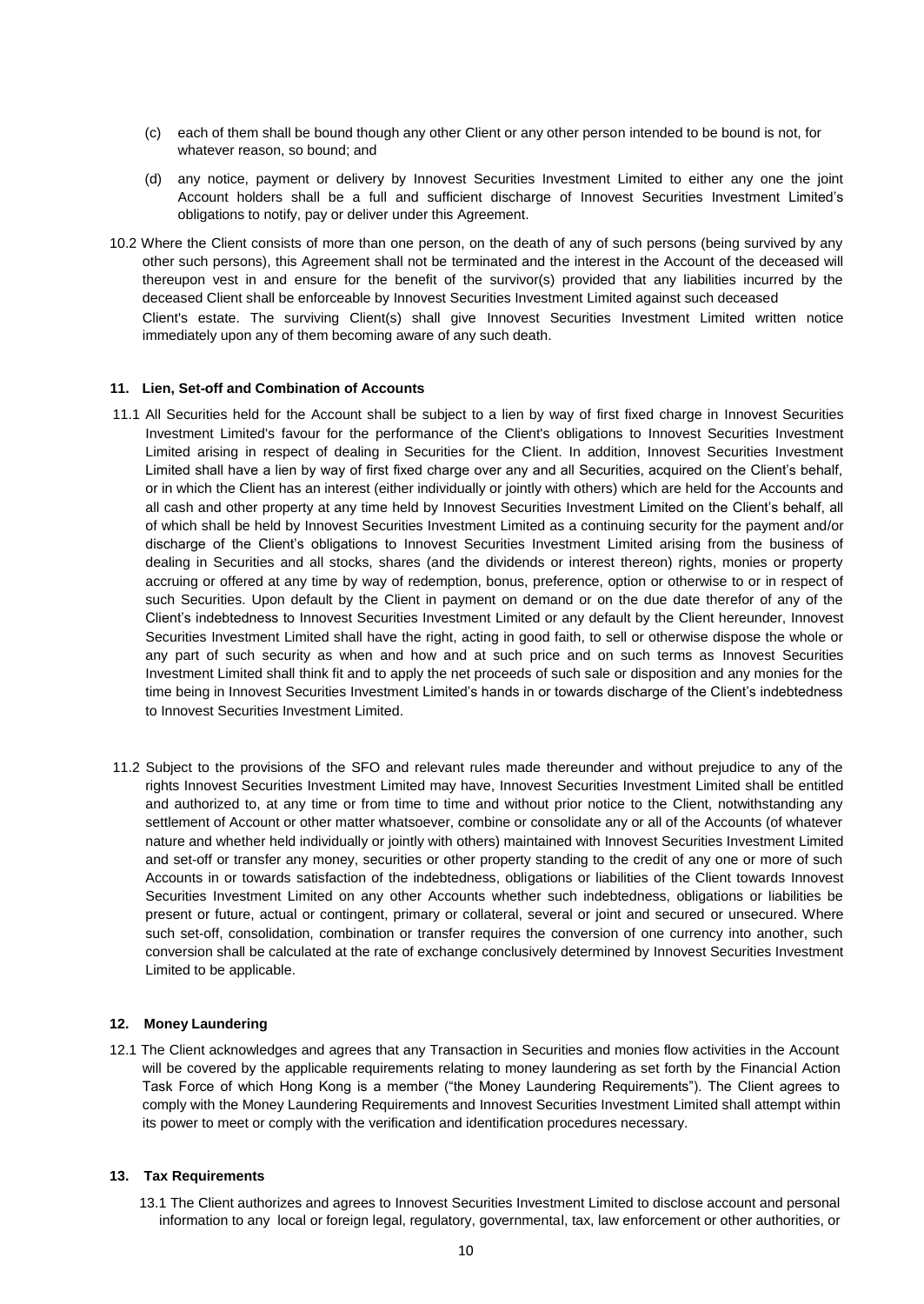- (c) each of them shall be bound though any other Client or any other person intended to be bound is not, for whatever reason, so bound; and
- (d) any notice, payment or delivery by Innovest Securities Investment Limited to either any one the joint Account holders shall be a full and sufficient discharge of Innovest Securities Investment Limited's obligations to notify, pay or deliver under this Agreement.
- 10.2 Where the Client consists of more than one person, on the death of any of such persons (being survived by any other such persons), this Agreement shall not be terminated and the interest in the Account of the deceased will thereupon vest in and ensure for the benefit of the survivor(s) provided that any liabilities incurred by the deceased Client shall be enforceable by Innovest Securities Investment Limited against such deceased Client's estate. The surviving Client(s) shall give Innovest Securities Investment Limited written notice immediately upon any of them becoming aware of any such death.

# **11. Lien, Set-off and Combination of Accounts**

- 11.1 All Securities held for the Account shall be subject to a lien by way of first fixed charge in Innovest Securities Investment Limited's favour for the performance of the Client's obligations to Innovest Securities Investment Limited arising in respect of dealing in Securities for the Client. In addition, Innovest Securities Investment Limited shall have a lien by way of first fixed charge over any and all Securities, acquired on the Client's behalf, or in which the Client has an interest (either individually or jointly with others) which are held for the Accounts and all cash and other property at any time held by Innovest Securities Investment Limited on the Client's behalf, all of which shall be held by Innovest Securities Investment Limited as a continuing security for the payment and/or discharge of the Client's obligations to Innovest Securities Investment Limited arising from the business of dealing in Securities and all stocks, shares (and the dividends or interest thereon) rights, monies or property accruing or offered at any time by way of redemption, bonus, preference, option or otherwise to or in respect of such Securities. Upon default by the Client in payment on demand or on the due date therefor of any of the Client's indebtedness to Innovest Securities Investment Limited or any default by the Client hereunder, Innovest Securities Investment Limited shall have the right, acting in good faith, to sell or otherwise dispose the whole or any part of such security as when and how and at such price and on such terms as Innovest Securities Investment Limited shall think fit and to apply the net proceeds of such sale or disposition and any monies for the time being in Innovest Securities Investment Limited's hands in or towards discharge of the Client's indebtedness to Innovest Securities Investment Limited.
- 11.2 Subject to the provisions of the SFO and relevant rules made thereunder and without prejudice to any of the rights Innovest Securities Investment Limited may have, Innovest Securities Investment Limited shall be entitled and authorized to, at any time or from time to time and without prior notice to the Client, notwithstanding any settlement of Account or other matter whatsoever, combine or consolidate any or all of the Accounts (of whatever nature and whether held individually or jointly with others) maintained with Innovest Securities Investment Limited and set-off or transfer any money, securities or other property standing to the credit of any one or more of such Accounts in or towards satisfaction of the indebtedness, obligations or liabilities of the Client towards Innovest Securities Investment Limited on any other Accounts whether such indebtedness, obligations or liabilities be present or future, actual or contingent, primary or collateral, several or joint and secured or unsecured. Where such set-off, consolidation, combination or transfer requires the conversion of one currency into another, such conversion shall be calculated at the rate of exchange conclusively determined by Innovest Securities Investment Limited to be applicable.

# **12. Money Laundering**

12.1 The Client acknowledges and agrees that any Transaction in Securities and monies flow activities in the Account will be covered by the applicable requirements relating to money laundering as set forth by the Financial Action Task Force of which Hong Kong is a member ("the Money Laundering Requirements"). The Client agrees to comply with the Money Laundering Requirements and Innovest Securities Investment Limited shall attempt within its power to meet or comply with the verification and identification procedures necessary.

# **13. Tax Requirements**

13.1 The Client authorizes and agrees to Innovest Securities Investment Limited to disclose account and personal information to any local or foreign legal, regulatory, governmental, tax, law enforcement or other authorities, or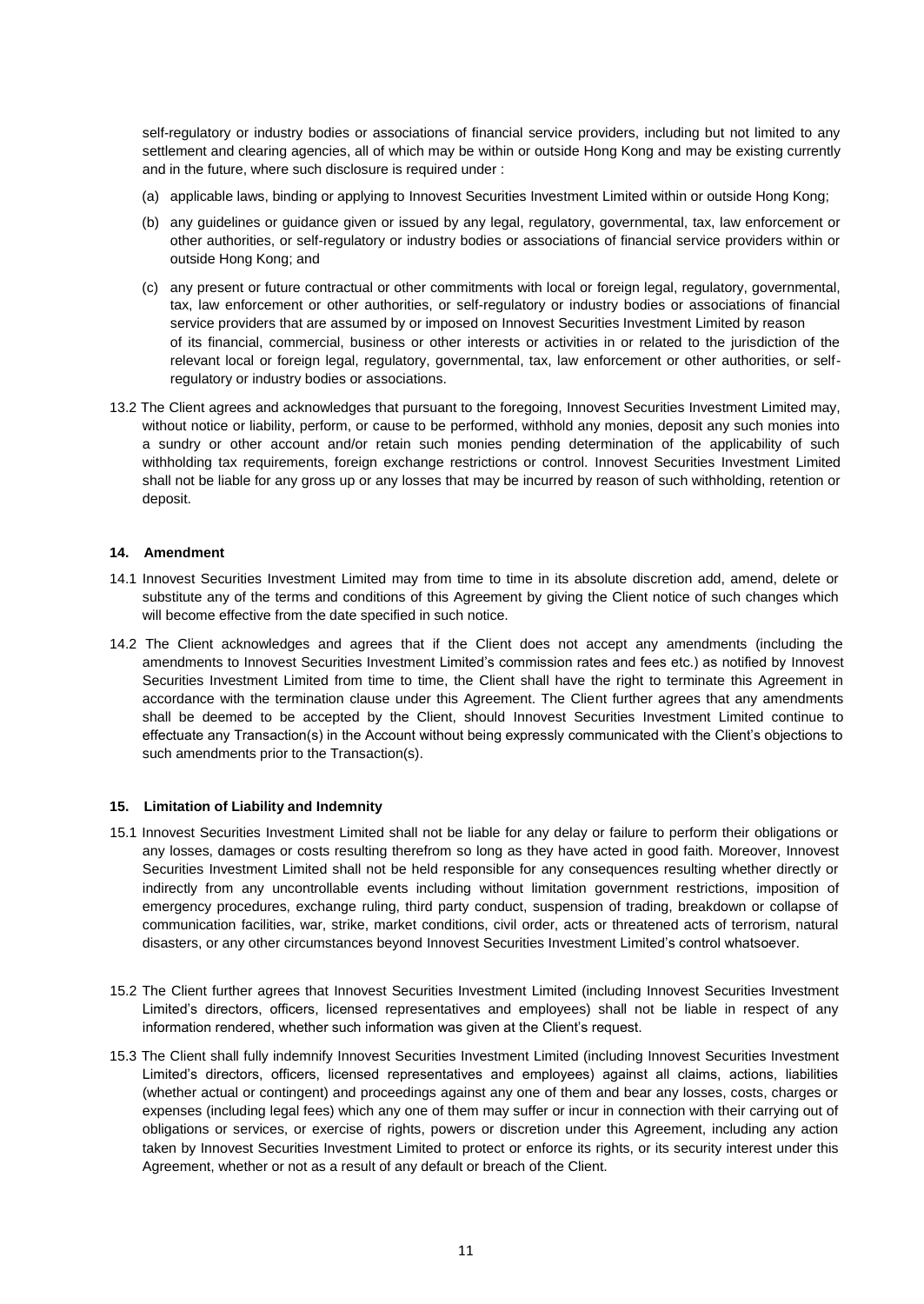self-regulatory or industry bodies or associations of financial service providers, including but not limited to any settlement and clearing agencies, all of which may be within or outside Hong Kong and may be existing currently and in the future, where such disclosure is required under :

- (a) applicable laws, binding or applying to Innovest Securities Investment Limited within or outside Hong Kong;
- (b) any guidelines or guidance given or issued by any legal, regulatory, governmental, tax, law enforcement or other authorities, or self-regulatory or industry bodies or associations of financial service providers within or outside Hong Kong; and
- (c) any present or future contractual or other commitments with local or foreign legal, regulatory, governmental, tax, law enforcement or other authorities, or self-regulatory or industry bodies or associations of financial service providers that are assumed by or imposed on Innovest Securities Investment Limited by reason of its financial, commercial, business or other interests or activities in or related to the jurisdiction of the relevant local or foreign legal, regulatory, governmental, tax, law enforcement or other authorities, or selfregulatory or industry bodies or associations.
- 13.2 The Client agrees and acknowledges that pursuant to the foregoing, Innovest Securities Investment Limited may, without notice or liability, perform, or cause to be performed, withhold any monies, deposit any such monies into a sundry or other account and/or retain such monies pending determination of the applicability of such withholding tax requirements, foreign exchange restrictions or control. Innovest Securities Investment Limited shall not be liable for any gross up or any losses that may be incurred by reason of such withholding, retention or deposit.

# **14. Amendment**

- 14.1 Innovest Securities Investment Limited may from time to time in its absolute discretion add, amend, delete or substitute any of the terms and conditions of this Agreement by giving the Client notice of such changes which will become effective from the date specified in such notice.
- 14.2 The Client acknowledges and agrees that if the Client does not accept any amendments (including the amendments to Innovest Securities Investment Limited's commission rates and fees etc.) as notified by Innovest Securities Investment Limited from time to time, the Client shall have the right to terminate this Agreement in accordance with the termination clause under this Agreement. The Client further agrees that any amendments shall be deemed to be accepted by the Client, should Innovest Securities Investment Limited continue to effectuate any Transaction(s) in the Account without being expressly communicated with the Client's objections to such amendments prior to the Transaction(s).

# **15. Limitation of Liability and Indemnity**

- 15.1 Innovest Securities Investment Limited shall not be liable for any delay or failure to perform their obligations or any losses, damages or costs resulting therefrom so long as they have acted in good faith. Moreover, Innovest Securities Investment Limited shall not be held responsible for any consequences resulting whether directly or indirectly from any uncontrollable events including without limitation government restrictions, imposition of emergency procedures, exchange ruling, third party conduct, suspension of trading, breakdown or collapse of communication facilities, war, strike, market conditions, civil order, acts or threatened acts of terrorism, natural disasters, or any other circumstances beyond Innovest Securities Investment Limited's control whatsoever.
- 15.2 The Client further agrees that Innovest Securities Investment Limited (including Innovest Securities Investment Limited's directors, officers, licensed representatives and employees) shall not be liable in respect of any information rendered, whether such information was given at the Client's request.
- 15.3 The Client shall fully indemnify Innovest Securities Investment Limited (including Innovest Securities Investment Limited's directors, officers, licensed representatives and employees) against all claims, actions, liabilities (whether actual or contingent) and proceedings against any one of them and bear any losses, costs, charges or expenses (including legal fees) which any one of them may suffer or incur in connection with their carrying out of obligations or services, or exercise of rights, powers or discretion under this Agreement, including any action taken by Innovest Securities Investment Limited to protect or enforce its rights, or its security interest under this Agreement, whether or not as a result of any default or breach of the Client.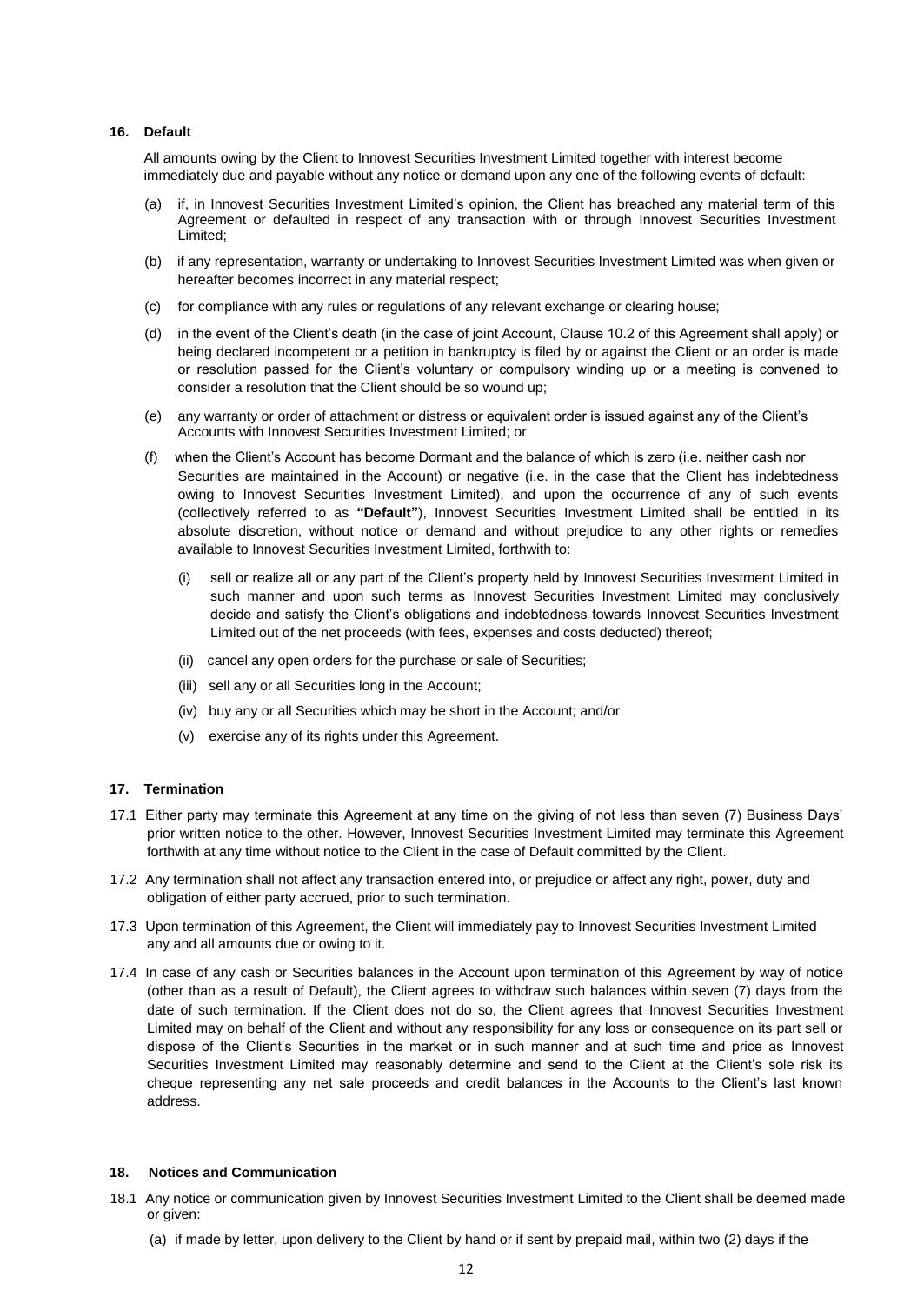# **16. Default**

All amounts owing by the Client to Innovest Securities Investment Limited together with interest become immediately due and payable without any notice or demand upon any one of the following events of default:

- if, in Innovest Securities Investment Limited's opinion, the Client has breached any material term of this Agreement or defaulted in respect of any transaction with or through Innovest Securities Investment Limited;
- (b) if any representation, warranty or undertaking to Innovest Securities Investment Limited was when given or hereafter becomes incorrect in any material respect;
- (c) for compliance with any rules or regulations of any relevant exchange or clearing house;
- (d) in the event of the Client's death (in the case of joint Account, Clause 10.2 of this Agreement shall apply) or being declared incompetent or a petition in bankruptcy is filed by or against the Client or an order is made or resolution passed for the Client's voluntary or compulsory winding up or a meeting is convened to consider a resolution that the Client should be so wound up;
- (e) any warranty or order of attachment or distress or equivalent order is issued against any of the Client's Accounts with Innovest Securities Investment Limited; or
- (f) when the Client's Account has become Dormant and the balance of which is zero (i.e. neither cash nor Securities are maintained in the Account) or negative (i.e. in the case that the Client has indebtedness owing to Innovest Securities Investment Limited), and upon the occurrence of any of such events (collectively referred to as **"Default"**), Innovest Securities Investment Limited shall be entitled in its absolute discretion, without notice or demand and without prejudice to any other rights or remedies available to Innovest Securities Investment Limited, forthwith to:
	- (i) sell or realize all or any part of the Client's property held by Innovest Securities Investment Limited in such manner and upon such terms as Innovest Securities Investment Limited may conclusively decide and satisfy the Client's obligations and indebtedness towards Innovest Securities Investment Limited out of the net proceeds (with fees, expenses and costs deducted) thereof;
	- (ii) cancel any open orders for the purchase or sale of Securities;
	- (iii) sell any or all Securities long in the Account;
	- (iv) buy any or all Securities which may be short in the Account; and/or
	- (v) exercise any of its rights under this Agreement.

# **17. Termination**

- 17.1 Either party may terminate this Agreement at any time on the giving of not less than seven (7) Business Days' prior written notice to the other. However, Innovest Securities Investment Limited may terminate this Agreement forthwith at any time without notice to the Client in the case of Default committed by the Client.
- 17.2 Any termination shall not affect any transaction entered into, or prejudice or affect any right, power, duty and obligation of either party accrued, prior to such termination.
- 17.3 Upon termination of this Agreement, the Client will immediately pay to Innovest Securities Investment Limited any and all amounts due or owing to it.
- 17.4 In case of any cash or Securities balances in the Account upon termination of this Agreement by way of notice (other than as a result of Default), the Client agrees to withdraw such balances within seven (7) days from the date of such termination. If the Client does not do so, the Client agrees that Innovest Securities Investment Limited may on behalf of the Client and without any responsibility for any loss or consequence on its part sell or dispose of the Client's Securities in the market or in such manner and at such time and price as Innovest Securities Investment Limited may reasonably determine and send to the Client at the Client's sole risk its cheque representing any net sale proceeds and credit balances in the Accounts to the Client's last known address.

## **18. Notices and Communication**

- 18.1 Any notice or communication given by Innovest Securities Investment Limited to the Client shall be deemed made or given:
	- (a) if made by letter, upon delivery to the Client by hand or if sent by prepaid mail, within two (2) days if the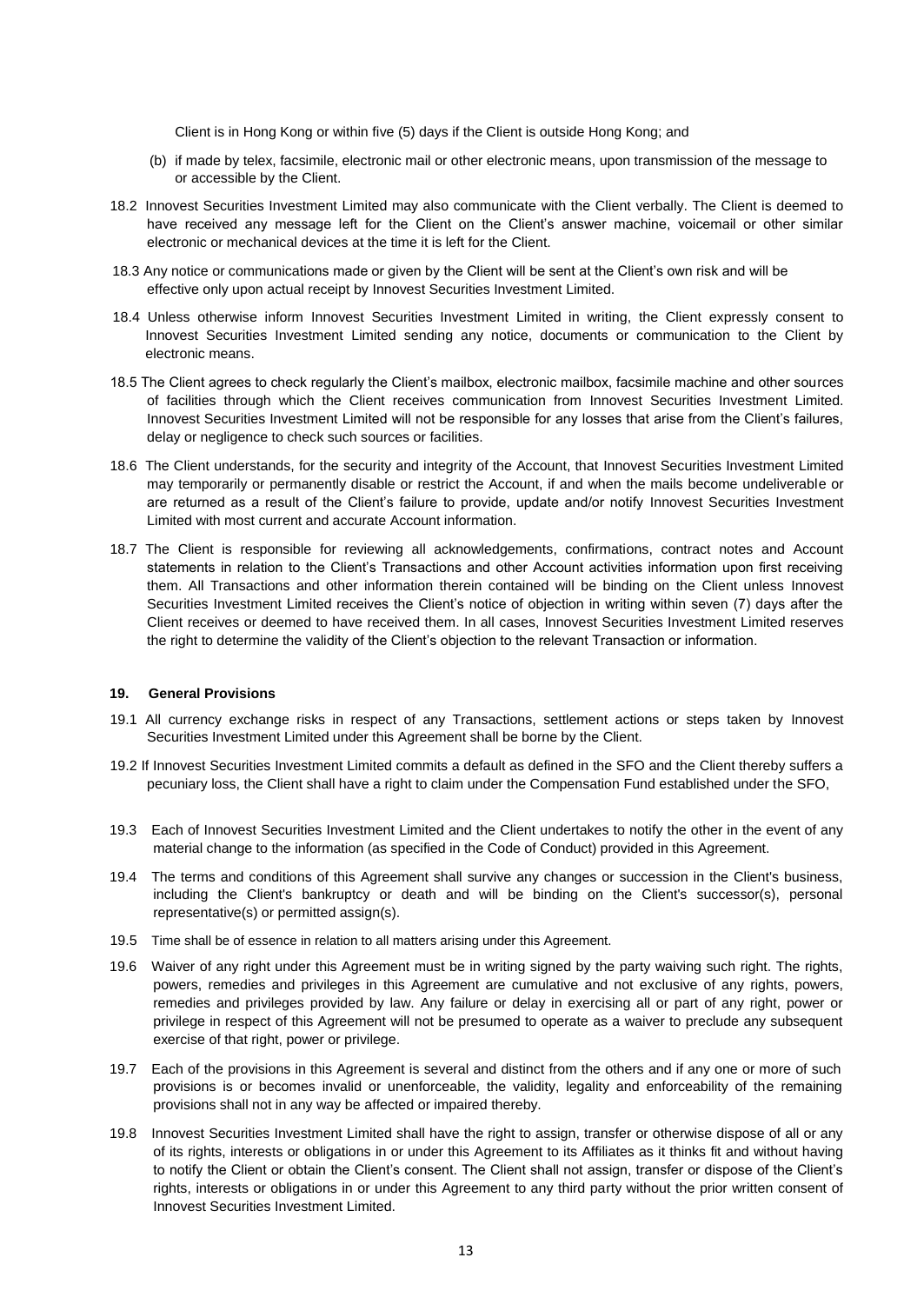Client is in Hong Kong or within five (5) days if the Client is outside Hong Kong; and

- (b) if made by telex, facsimile, electronic mail or other electronic means, upon transmission of the message to or accessible by the Client.
- 18.2 Innovest Securities Investment Limited may also communicate with the Client verbally. The Client is deemed to have received any message left for the Client on the Client's answer machine, voicemail or other similar electronic or mechanical devices at the time it is left for the Client.
- 18.3 Any notice or communications made or given by the Client will be sent at the Client's own risk and will be effective only upon actual receipt by Innovest Securities Investment Limited.
- 18.4 Unless otherwise inform Innovest Securities Investment Limited in writing, the Client expressly consent to Innovest Securities Investment Limited sending any notice, documents or communication to the Client by electronic means.
- 18.5 The Client agrees to check regularly the Client's mailbox, electronic mailbox, facsimile machine and other sources of facilities through which the Client receives communication from Innovest Securities Investment Limited. Innovest Securities Investment Limited will not be responsible for any losses that arise from the Client's failures, delay or negligence to check such sources or facilities.
- 18.6 The Client understands, for the security and integrity of the Account, that Innovest Securities Investment Limited may temporarily or permanently disable or restrict the Account, if and when the mails become undeliverable or are returned as a result of the Client's failure to provide, update and/or notify Innovest Securities Investment Limited with most current and accurate Account information.
- 18.7 The Client is responsible for reviewing all acknowledgements, confirmations, contract notes and Account statements in relation to the Client's Transactions and other Account activities information upon first receiving them. All Transactions and other information therein contained will be binding on the Client unless Innovest Securities Investment Limited receives the Client's notice of objection in writing within seven (7) days after the Client receives or deemed to have received them. In all cases, Innovest Securities Investment Limited reserves the right to determine the validity of the Client's objection to the relevant Transaction or information.

# **19. General Provisions**

- 19.1 All currency exchange risks in respect of any Transactions, settlement actions or steps taken by Innovest Securities Investment Limited under this Agreement shall be borne by the Client.
- 19.2 If Innovest Securities Investment Limited commits a default as defined in the SFO and the Client thereby suffers a pecuniary loss, the Client shall have a right to claim under the Compensation Fund established under the SFO,
- 19.3 Each of Innovest Securities Investment Limited and the Client undertakes to notify the other in the event of any material change to the information (as specified in the Code of Conduct) provided in this Agreement.
- 19.4 The terms and conditions of this Agreement shall survive any changes or succession in the Client's business, including the Client's bankruptcy or death and will be binding on the Client's successor(s), personal representative(s) or permitted assign(s).
- 19.5 Time shall be of essence in relation to all matters arising under this Agreement.
- 19.6 Waiver of any right under this Agreement must be in writing signed by the party waiving such right. The rights, powers, remedies and privileges in this Agreement are cumulative and not exclusive of any rights, powers, remedies and privileges provided by law. Any failure or delay in exercising all or part of any right, power or privilege in respect of this Agreement will not be presumed to operate as a waiver to preclude any subsequent exercise of that right, power or privilege.
- 19.7 Each of the provisions in this Agreement is several and distinct from the others and if any one or more of such provisions is or becomes invalid or unenforceable, the validity, legality and enforceability of the remaining provisions shall not in any way be affected or impaired thereby.
- 19.8 Innovest Securities Investment Limited shall have the right to assign, transfer or otherwise dispose of all or any of its rights, interests or obligations in or under this Agreement to its Affiliates as it thinks fit and without having to notify the Client or obtain the Client's consent. The Client shall not assign, transfer or dispose of the Client's rights, interests or obligations in or under this Agreement to any third party without the prior written consent of Innovest Securities Investment Limited.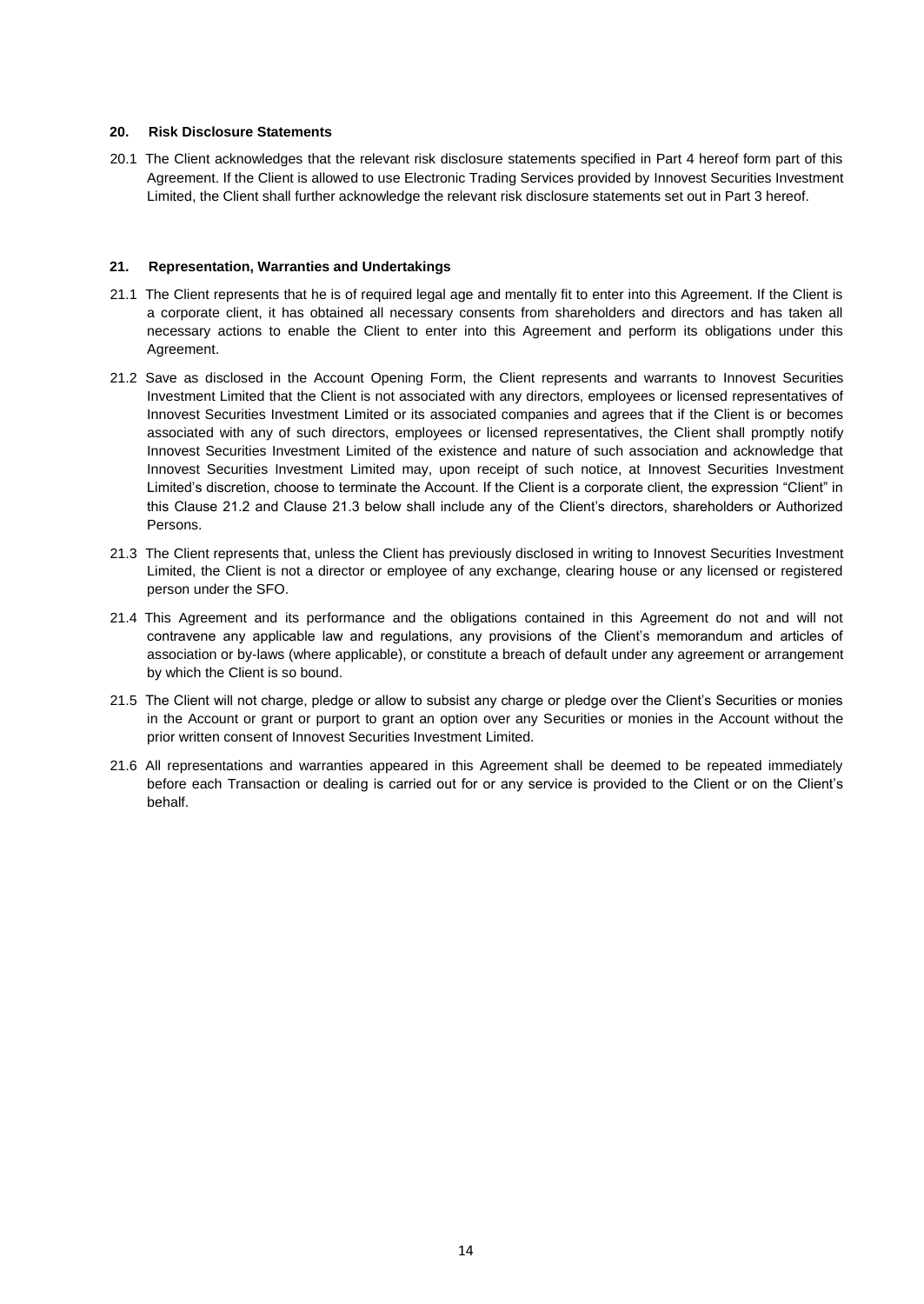# **20. Risk Disclosure Statements**

20.1 The Client acknowledges that the relevant risk disclosure statements specified in Part 4 hereof form part of this Agreement. If the Client is allowed to use Electronic Trading Services provided by Innovest Securities Investment Limited, the Client shall further acknowledge the relevant risk disclosure statements set out in Part 3 hereof.

# **21. Representation, Warranties and Undertakings**

- 21.1 The Client represents that he is of required legal age and mentally fit to enter into this Agreement. If the Client is a corporate client, it has obtained all necessary consents from shareholders and directors and has taken all necessary actions to enable the Client to enter into this Agreement and perform its obligations under this Agreement.
- 21.2 Save as disclosed in the Account Opening Form, the Client represents and warrants to Innovest Securities Investment Limited that the Client is not associated with any directors, employees or licensed representatives of Innovest Securities Investment Limited or its associated companies and agrees that if the Client is or becomes associated with any of such directors, employees or licensed representatives, the Client shall promptly notify Innovest Securities Investment Limited of the existence and nature of such association and acknowledge that Innovest Securities Investment Limited may, upon receipt of such notice, at Innovest Securities Investment Limited's discretion, choose to terminate the Account. If the Client is a corporate client, the expression "Client" in this Clause 21.2 and Clause 21.3 below shall include any of the Client's directors, shareholders or Authorized Persons.
- 21.3 The Client represents that, unless the Client has previously disclosed in writing to Innovest Securities Investment Limited, the Client is not a director or employee of any exchange, clearing house or any licensed or registered person under the SFO.
- 21.4 This Agreement and its performance and the obligations contained in this Agreement do not and will not contravene any applicable law and regulations, any provisions of the Client's memorandum and articles of association or by-laws (where applicable), or constitute a breach of default under any agreement or arrangement by which the Client is so bound.
- 21.5 The Client will not charge, pledge or allow to subsist any charge or pledge over the Client's Securities or monies in the Account or grant or purport to grant an option over any Securities or monies in the Account without the prior written consent of Innovest Securities Investment Limited.
- 21.6 All representations and warranties appeared in this Agreement shall be deemed to be repeated immediately before each Transaction or dealing is carried out for or any service is provided to the Client or on the Client's behalf.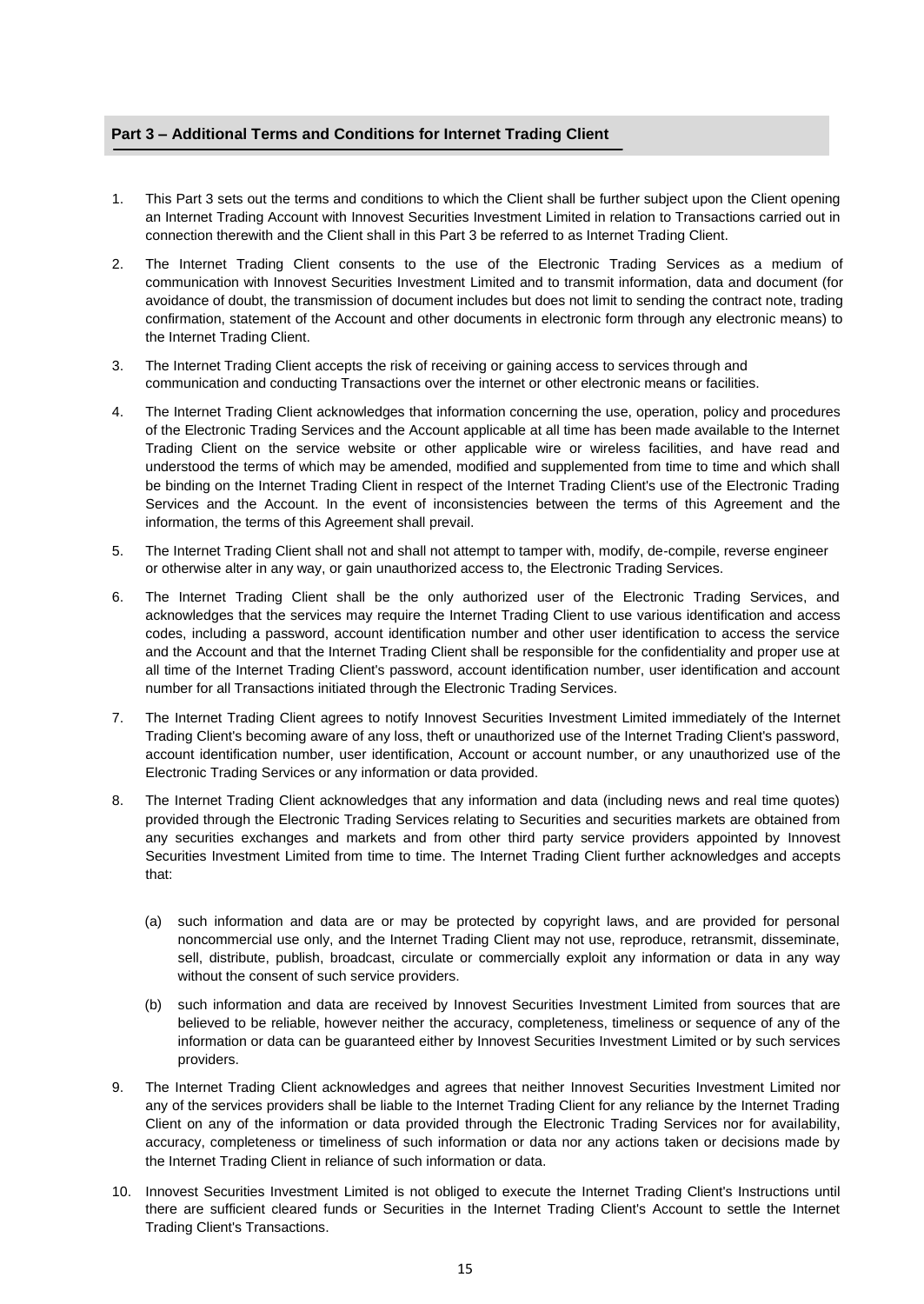# **Part 3 – Additional Terms and Conditions for Internet Trading Client**

- 1. This Part 3 sets out the terms and conditions to which the Client shall be further subject upon the Client opening an Internet Trading Account with Innovest Securities Investment Limited in relation to Transactions carried out in connection therewith and the Client shall in this Part 3 be referred to as Internet Trading Client.
- 2. The Internet Trading Client consents to the use of the Electronic Trading Services as a medium of communication with Innovest Securities Investment Limited and to transmit information, data and document (for avoidance of doubt, the transmission of document includes but does not limit to sending the contract note, trading confirmation, statement of the Account and other documents in electronic form through any electronic means) to the Internet Trading Client.
- 3. The Internet Trading Client accepts the risk of receiving or gaining access to services through and communication and conducting Transactions over the internet or other electronic means or facilities.
- 4. The Internet Trading Client acknowledges that information concerning the use, operation, policy and procedures of the Electronic Trading Services and the Account applicable at all time has been made available to the Internet Trading Client on the service website or other applicable wire or wireless facilities, and have read and understood the terms of which may be amended, modified and supplemented from time to time and which shall be binding on the Internet Trading Client in respect of the Internet Trading Client's use of the Electronic Trading Services and the Account. In the event of inconsistencies between the terms of this Agreement and the information, the terms of this Agreement shall prevail.
- 5. The Internet Trading Client shall not and shall not attempt to tamper with, modify, de-compile, reverse engineer or otherwise alter in any way, or gain unauthorized access to, the Electronic Trading Services.
- 6. The Internet Trading Client shall be the only authorized user of the Electronic Trading Services, and acknowledges that the services may require the Internet Trading Client to use various identification and access codes, including a password, account identification number and other user identification to access the service and the Account and that the Internet Trading Client shall be responsible for the confidentiality and proper use at all time of the Internet Trading Client's password, account identification number, user identification and account number for all Transactions initiated through the Electronic Trading Services.
- 7. The Internet Trading Client agrees to notify Innovest Securities Investment Limited immediately of the Internet Trading Client's becoming aware of any loss, theft or unauthorized use of the Internet Trading Client's password, account identification number, user identification, Account or account number, or any unauthorized use of the Electronic Trading Services or any information or data provided.
- 8. The Internet Trading Client acknowledges that any information and data (including news and real time quotes) provided through the Electronic Trading Services relating to Securities and securities markets are obtained from any securities exchanges and markets and from other third party service providers appointed by Innovest Securities Investment Limited from time to time. The Internet Trading Client further acknowledges and accepts that:
	- (a) such information and data are or may be protected by copyright laws, and are provided for personal noncommercial use only, and the Internet Trading Client may not use, reproduce, retransmit, disseminate, sell, distribute, publish, broadcast, circulate or commercially exploit any information or data in any way without the consent of such service providers.
	- (b) such information and data are received by Innovest Securities Investment Limited from sources that are believed to be reliable, however neither the accuracy, completeness, timeliness or sequence of any of the information or data can be guaranteed either by Innovest Securities Investment Limited or by such services providers.
- 9. The Internet Trading Client acknowledges and agrees that neither Innovest Securities Investment Limited nor any of the services providers shall be liable to the Internet Trading Client for any reliance by the Internet Trading Client on any of the information or data provided through the Electronic Trading Services nor for availability, accuracy, completeness or timeliness of such information or data nor any actions taken or decisions made by the Internet Trading Client in reliance of such information or data.
- 10. Innovest Securities Investment Limited is not obliged to execute the Internet Trading Client's Instructions until there are sufficient cleared funds or Securities in the Internet Trading Client's Account to settle the Internet Trading Client's Transactions.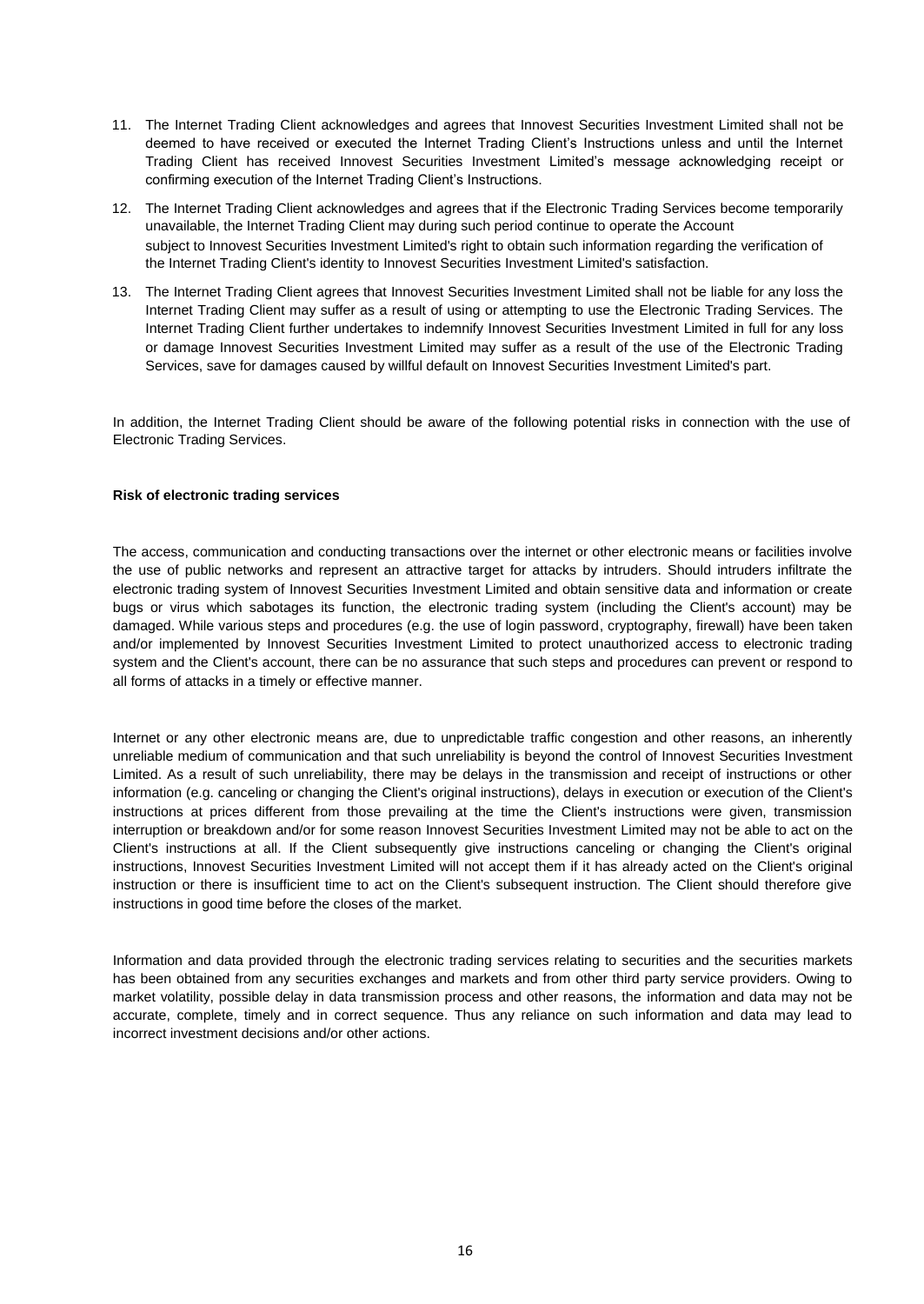- 11. The Internet Trading Client acknowledges and agrees that Innovest Securities Investment Limited shall not be deemed to have received or executed the Internet Trading Client's Instructions unless and until the Internet Trading Client has received Innovest Securities Investment Limited's message acknowledging receipt or confirming execution of the Internet Trading Client's Instructions.
- 12. The Internet Trading Client acknowledges and agrees that if the Electronic Trading Services become temporarily unavailable, the Internet Trading Client may during such period continue to operate the Account subject to Innovest Securities Investment Limited's right to obtain such information regarding the verification of the Internet Trading Client's identity to Innovest Securities Investment Limited's satisfaction.
- 13. The Internet Trading Client agrees that Innovest Securities Investment Limited shall not be liable for any loss the Internet Trading Client may suffer as a result of using or attempting to use the Electronic Trading Services. The Internet Trading Client further undertakes to indemnify Innovest Securities Investment Limited in full for any loss or damage Innovest Securities Investment Limited may suffer as a result of the use of the Electronic Trading Services, save for damages caused by willful default on Innovest Securities Investment Limited's part.

In addition, the Internet Trading Client should be aware of the following potential risks in connection with the use of Electronic Trading Services.

# **Risk of electronic trading services**

The access, communication and conducting transactions over the internet or other electronic means or facilities involve the use of public networks and represent an attractive target for attacks by intruders. Should intruders infiltrate the electronic trading system of Innovest Securities Investment Limited and obtain sensitive data and information or create bugs or virus which sabotages its function, the electronic trading system (including the Client's account) may be damaged. While various steps and procedures (e.g. the use of login password, cryptography, firewall) have been taken and/or implemented by Innovest Securities Investment Limited to protect unauthorized access to electronic trading system and the Client's account, there can be no assurance that such steps and procedures can prevent or respond to all forms of attacks in a timely or effective manner.

Internet or any other electronic means are, due to unpredictable traffic congestion and other reasons, an inherently unreliable medium of communication and that such unreliability is beyond the control of Innovest Securities Investment Limited. As a result of such unreliability, there may be delays in the transmission and receipt of instructions or other information (e.g. canceling or changing the Client's original instructions), delays in execution or execution of the Client's instructions at prices different from those prevailing at the time the Client's instructions were given, transmission interruption or breakdown and/or for some reason Innovest Securities Investment Limited may not be able to act on the Client's instructions at all. If the Client subsequently give instructions canceling or changing the Client's original instructions, Innovest Securities Investment Limited will not accept them if it has already acted on the Client's original instruction or there is insufficient time to act on the Client's subsequent instruction. The Client should therefore give instructions in good time before the closes of the market.

Information and data provided through the electronic trading services relating to securities and the securities markets has been obtained from any securities exchanges and markets and from other third party service providers. Owing to market volatility, possible delay in data transmission process and other reasons, the information and data may not be accurate, complete, timely and in correct sequence. Thus any reliance on such information and data may lead to incorrect investment decisions and/or other actions.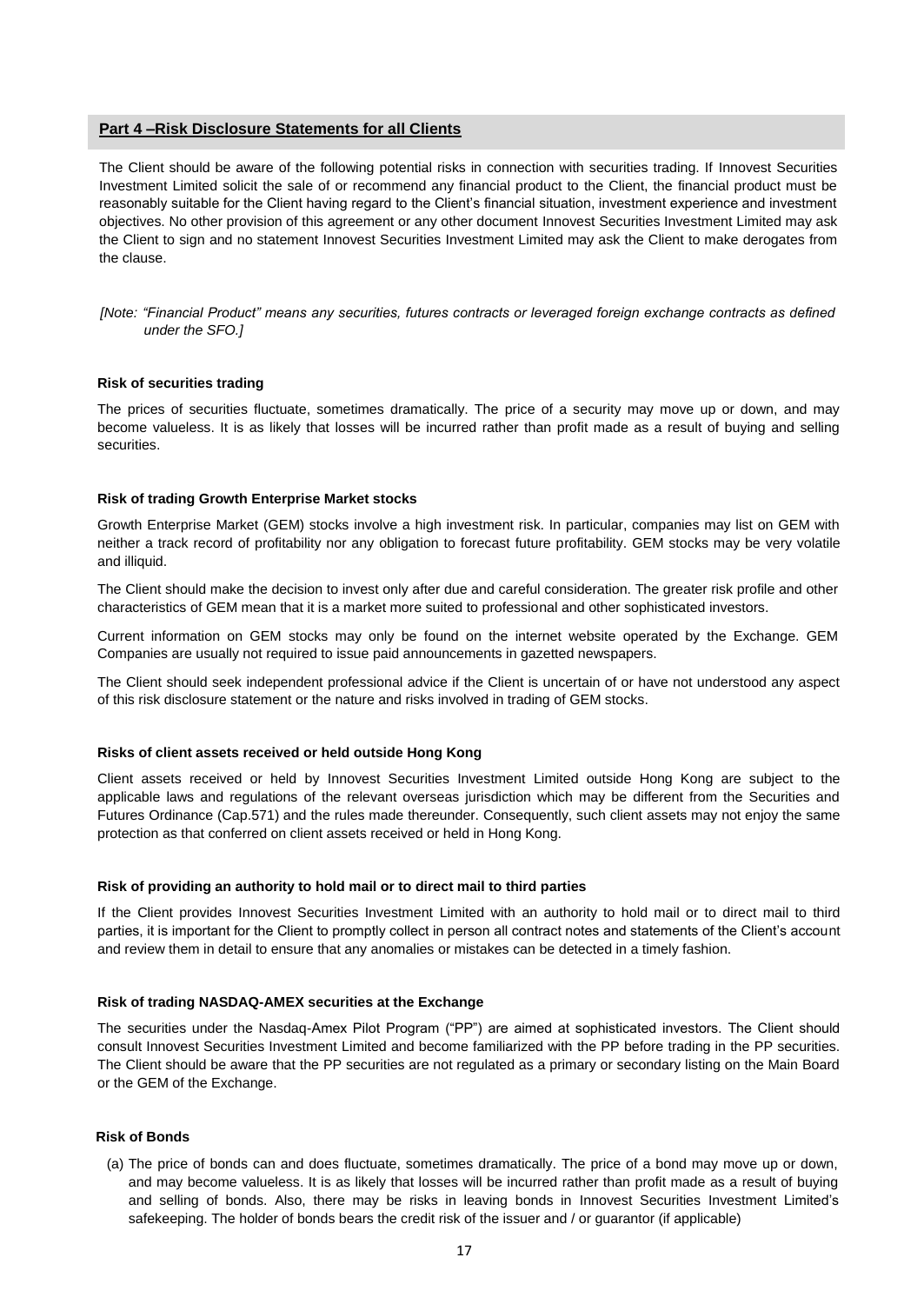# **Part 4 –Risk Disclosure Statements for all Clients**

The Client should be aware of the following potential risks in connection with securities trading. If Innovest Securities Investment Limited solicit the sale of or recommend any financial product to the Client, the financial product must be reasonably suitable for the Client having regard to the Client's financial situation, investment experience and investment objectives. No other provision of this agreement or any other document Innovest Securities Investment Limited may ask the Client to sign and no statement Innovest Securities Investment Limited may ask the Client to make derogates from the clause.

*[Note: "Financial Product" means any securities, futures contracts or leveraged foreign exchange contracts as defined under the SFO.]*

### **Risk of securities trading**

The prices of securities fluctuate, sometimes dramatically. The price of a security may move up or down, and may become valueless. It is as likely that losses will be incurred rather than profit made as a result of buying and selling securities.

#### **Risk of trading Growth Enterprise Market stocks**

Growth Enterprise Market (GEM) stocks involve a high investment risk. In particular, companies may list on GEM with neither a track record of profitability nor any obligation to forecast future profitability. GEM stocks may be very volatile and illiquid.

The Client should make the decision to invest only after due and careful consideration. The greater risk profile and other characteristics of GEM mean that it is a market more suited to professional and other sophisticated investors.

Current information on GEM stocks may only be found on the internet website operated by the Exchange. GEM Companies are usually not required to issue paid announcements in gazetted newspapers.

The Client should seek independent professional advice if the Client is uncertain of or have not understood any aspect of this risk disclosure statement or the nature and risks involved in trading of GEM stocks.

## **Risks of client assets received or held outside Hong Kong**

Client assets received or held by Innovest Securities Investment Limited outside Hong Kong are subject to the applicable laws and regulations of the relevant overseas jurisdiction which may be different from the Securities and Futures Ordinance (Cap.571) and the rules made thereunder. Consequently, such client assets may not enjoy the same protection as that conferred on client assets received or held in Hong Kong.

#### **Risk of providing an authority to hold mail or to direct mail to third parties**

If the Client provides Innovest Securities Investment Limited with an authority to hold mail or to direct mail to third parties, it is important for the Client to promptly collect in person all contract notes and statements of the Client's account and review them in detail to ensure that any anomalies or mistakes can be detected in a timely fashion.

## **Risk of trading NASDAQ-AMEX securities at the Exchange**

The securities under the Nasdaq-Amex Pilot Program ("PP") are aimed at sophisticated investors. The Client should consult Innovest Securities Investment Limited and become familiarized with the PP before trading in the PP securities. The Client should be aware that the PP securities are not regulated as a primary or secondary listing on the Main Board or the GEM of the Exchange.

#### **Risk of Bonds**

(a) The price of bonds can and does fluctuate, sometimes dramatically. The price of a bond may move up or down, and may become valueless. It is as likely that losses will be incurred rather than profit made as a result of buying and selling of bonds. Also, there may be risks in leaving bonds in Innovest Securities Investment Limited's safekeeping. The holder of bonds bears the credit risk of the issuer and / or guarantor (if applicable)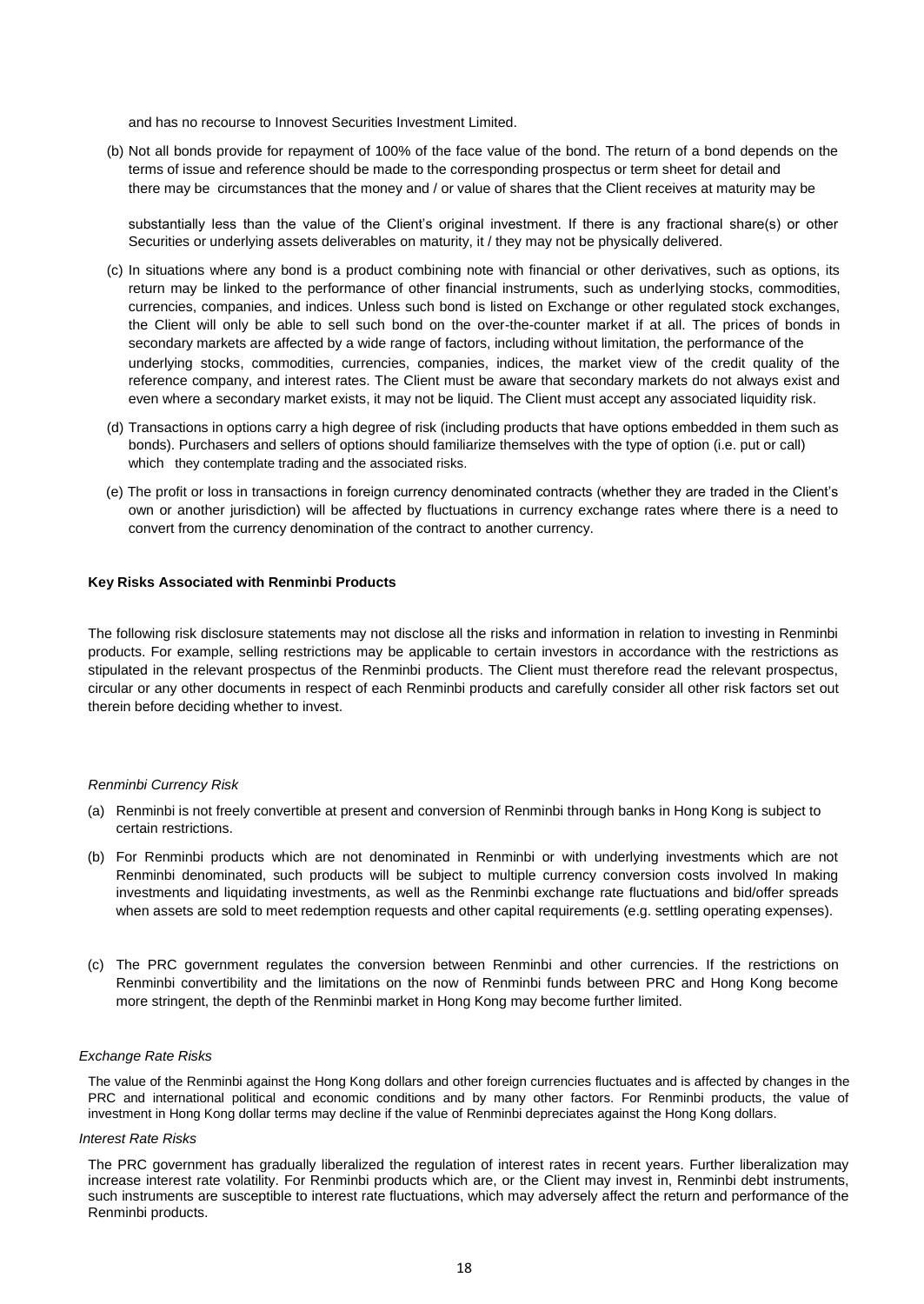and has no recourse to Innovest Securities Investment Limited.

(b) Not all bonds provide for repayment of 100% of the face value of the bond. The return of a bond depends on the terms of issue and reference should be made to the corresponding prospectus or term sheet for detail and there may be circumstances that the money and / or value of shares that the Client receives at maturity may be

substantially less than the value of the Client's original investment. If there is any fractional share(s) or other Securities or underlying assets deliverables on maturity, it / they may not be physically delivered.

- (c) In situations where any bond is a product combining note with financial or other derivatives, such as options, its return may be linked to the performance of other financial instruments, such as underlying stocks, commodities, currencies, companies, and indices. Unless such bond is listed on Exchange or other regulated stock exchanges, the Client will only be able to sell such bond on the over-the-counter market if at all. The prices of bonds in secondary markets are affected by a wide range of factors, including without limitation, the performance of the underlying stocks, commodities, currencies, companies, indices, the market view of the credit quality of the reference company, and interest rates. The Client must be aware that secondary markets do not always exist and even where a secondary market exists, it may not be liquid. The Client must accept any associated liquidity risk.
- (d) Transactions in options carry a high degree of risk (including products that have options embedded in them such as bonds). Purchasers and sellers of options should familiarize themselves with the type of option (i.e. put or call) which they contemplate trading and the associated risks.
- (e) The profit or loss in transactions in foreign currency denominated contracts (whether they are traded in the Client's own or another jurisdiction) will be affected by fluctuations in currency exchange rates where there is a need to convert from the currency denomination of the contract to another currency.

## **Key Risks Associated with Renminbi Products**

The following risk disclosure statements may not disclose all the risks and information in relation to investing in Renminbi products. For example, selling restrictions may be applicable to certain investors in accordance with the restrictions as stipulated in the relevant prospectus of the Renminbi products. The Client must therefore read the relevant prospectus, circular or any other documents in respect of each Renminbi products and carefully consider all other risk factors set out therein before deciding whether to invest.

#### *Renminbi Currency Risk*

- (a) Renminbi is not freely convertible at present and conversion of Renminbi through banks in Hong Kong is subject to certain restrictions.
- (b) For Renminbi products which are not denominated in Renminbi or with underlying investments which are not Renminbi denominated, such products will be subject to multiple currency conversion costs involved In making investments and liquidating investments, as well as the Renminbi exchange rate fluctuations and bid/offer spreads when assets are sold to meet redemption requests and other capital requirements (e.g. settling operating expenses).
- (c) The PRC government regulates the conversion between Renminbi and other currencies. If the restrictions on Renminbi convertibility and the limitations on the now of Renminbi funds between PRC and Hong Kong become more stringent, the depth of the Renminbi market in Hong Kong may become further limited.

### *Exchange Rate Risks*

The value of the Renminbi against the Hong Kong dollars and other foreign currencies fluctuates and is affected by changes in the PRC and international political and economic conditions and by many other factors. For Renminbi products, the value of investment in Hong Kong dollar terms may decline if the value of Renminbi depreciates against the Hong Kong dollars.

#### *Interest Rate Risks*

The PRC government has gradually liberalized the regulation of interest rates in recent years. Further liberalization may increase interest rate volatility. For Renminbi products which are, or the Client may invest in, Renminbi debt instruments, such instruments are susceptible to interest rate fluctuations, which may adversely affect the return and performance of the Renminbi products.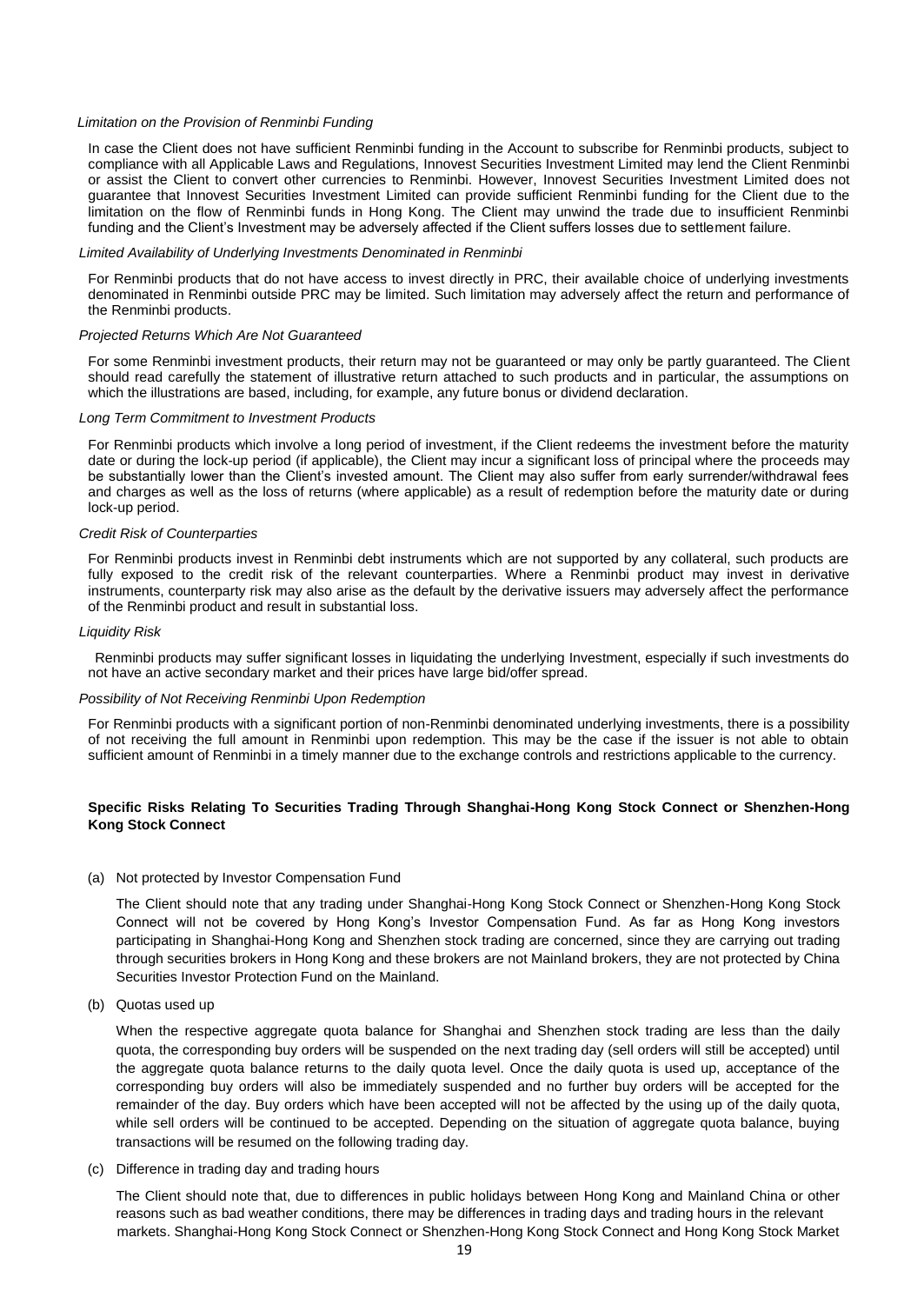#### *Limitation on the Provision of Renminbi Funding*

In case the Client does not have sufficient Renminbi funding in the Account to subscribe for Renminbi products, subject to compliance with all Applicable Laws and Regulations, Innovest Securities Investment Limited may lend the Client Renminbi or assist the Client to convert other currencies to Renminbi. However, Innovest Securities Investment Limited does not guarantee that Innovest Securities Investment Limited can provide sufficient Renminbi funding for the Client due to the limitation on the flow of Renminbi funds in Hong Kong. The Client may unwind the trade due to insufficient Renminbi funding and the Client's Investment may be adversely affected if the Client suffers losses due to settlement failure.

#### *Limited Availability of Underlying Investments Denominated in Renminbi*

For Renminbi products that do not have access to invest directly in PRC, their available choice of underlying investments denominated in Renminbi outside PRC may be limited. Such limitation may adversely affect the return and performance of the Renminbi products.

#### *Projected Returns Which Are Not Guaranteed*

For some Renminbi investment products, their return may not be guaranteed or may only be partly guaranteed. The Client should read carefully the statement of illustrative return attached to such products and in particular, the assumptions on which the illustrations are based, including, for example, any future bonus or dividend declaration.

#### *Long Term Commitment to Investment Products*

For Renminbi products which involve a long period of investment, if the Client redeems the investment before the maturity date or during the lock-up period (if applicable), the Client may incur a significant loss of principal where the proceeds may be substantially lower than the Client's invested amount. The Client may also suffer from early surrender/withdrawal fees and charges as well as the loss of returns (where applicable) as a result of redemption before the maturity date or during lock-up period.

#### *Credit Risk of Counterparties*

For Renminbi products invest in Renminbi debt instruments which are not supported by any collateral, such products are fully exposed to the credit risk of the relevant counterparties. Where a Renminbi product may invest in derivative instruments, counterparty risk may also arise as the default by the derivative issuers may adversely affect the performance of the Renminbi product and result in substantial loss.

#### *Liquidity Risk*

Renminbi products may suffer significant losses in liquidating the underlying Investment, especially if such investments do not have an active secondary market and their prices have large bid/offer spread.

### *Possibility of Not Receiving Renminbi Upon Redemption*

For Renminbi products with a significant portion of non-Renminbi denominated underlying investments, there is a possibility of not receiving the full amount in Renminbi upon redemption. This may be the case if the issuer is not able to obtain sufficient amount of Renminbi in a timely manner due to the exchange controls and restrictions applicable to the currency.

# **Specific Risks Relating To Securities Trading Through Shanghai-Hong Kong Stock Connect or Shenzhen-Hong Kong Stock Connect**

#### (a) Not protected by Investor Compensation Fund

The Client should note that any trading under Shanghai-Hong Kong Stock Connect or Shenzhen-Hong Kong Stock Connect will not be covered by Hong Kong's Investor Compensation Fund. As far as Hong Kong investors participating in Shanghai-Hong Kong and Shenzhen stock trading are concerned, since they are carrying out trading through securities brokers in Hong Kong and these brokers are not Mainland brokers, they are not protected by China Securities Investor Protection Fund on the Mainland.

(b) Quotas used up

When the respective aggregate quota balance for Shanghai and Shenzhen stock trading are less than the daily quota, the corresponding buy orders will be suspended on the next trading day (sell orders will still be accepted) until the aggregate quota balance returns to the daily quota level. Once the daily quota is used up, acceptance of the corresponding buy orders will also be immediately suspended and no further buy orders will be accepted for the remainder of the day. Buy orders which have been accepted will not be affected by the using up of the daily quota, while sell orders will be continued to be accepted. Depending on the situation of aggregate quota balance, buying transactions will be resumed on the following trading day.

(c) Difference in trading day and trading hours

The Client should note that, due to differences in public holidays between Hong Kong and Mainland China or other reasons such as bad weather conditions, there may be differences in trading days and trading hours in the relevant markets. Shanghai-Hong Kong Stock Connect or Shenzhen-Hong Kong Stock Connect and Hong Kong Stock Market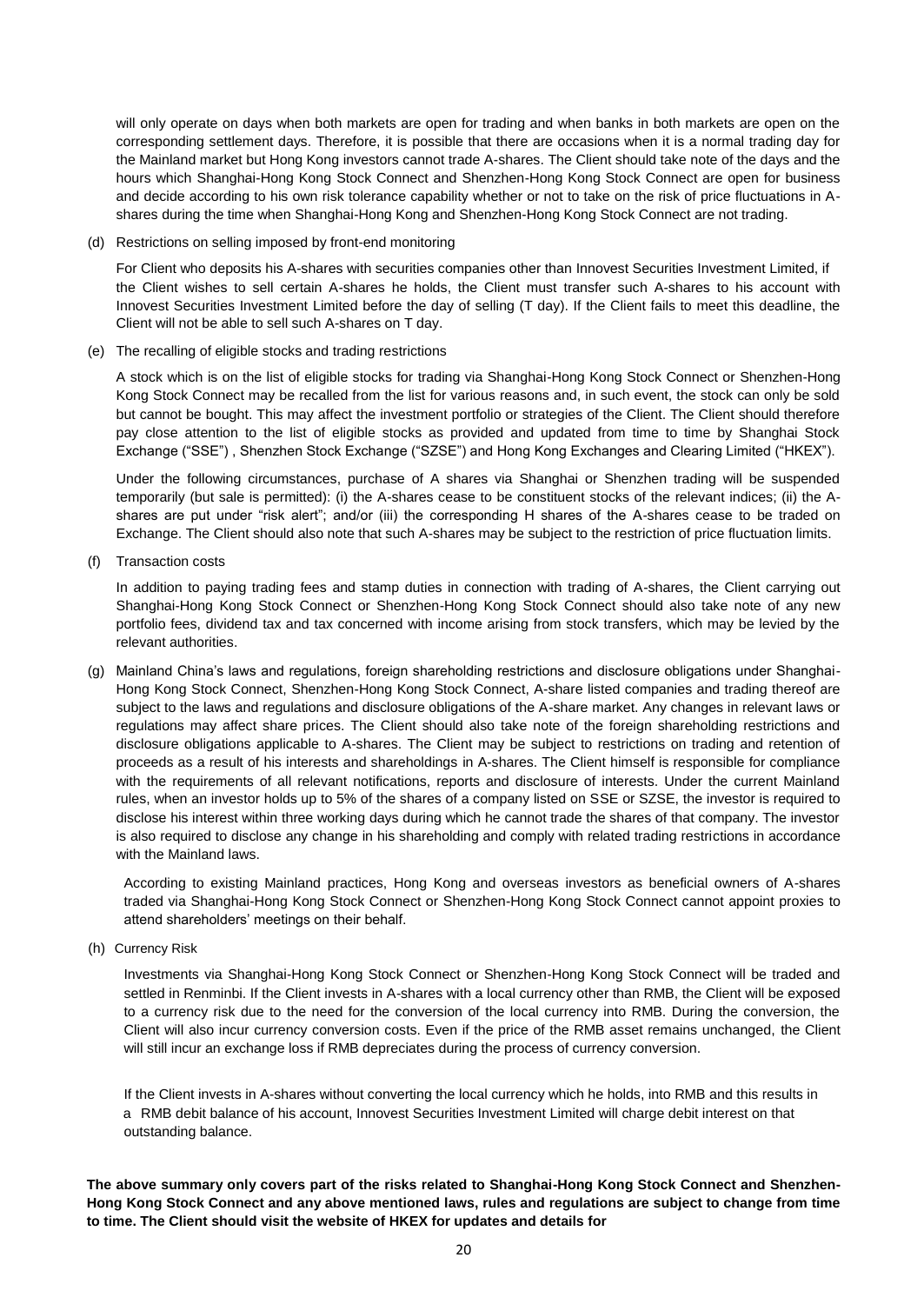will only operate on days when both markets are open for trading and when banks in both markets are open on the corresponding settlement days. Therefore, it is possible that there are occasions when it is a normal trading day for the Mainland market but Hong Kong investors cannot trade A-shares. The Client should take note of the days and the hours which Shanghai-Hong Kong Stock Connect and Shenzhen-Hong Kong Stock Connect are open for business and decide according to his own risk tolerance capability whether or not to take on the risk of price fluctuations in Ashares during the time when Shanghai-Hong Kong and Shenzhen-Hong Kong Stock Connect are not trading.

(d) Restrictions on selling imposed by front-end monitoring

For Client who deposits his A-shares with securities companies other than Innovest Securities Investment Limited, if the Client wishes to sell certain A-shares he holds, the Client must transfer such A-shares to his account with Innovest Securities Investment Limited before the day of selling (T day). If the Client fails to meet this deadline, the Client will not be able to sell such A-shares on T day.

(e) The recalling of eligible stocks and trading restrictions

A stock which is on the list of eligible stocks for trading via Shanghai-Hong Kong Stock Connect or Shenzhen-Hong Kong Stock Connect may be recalled from the list for various reasons and, in such event, the stock can only be sold but cannot be bought. This may affect the investment portfolio or strategies of the Client. The Client should therefore pay close attention to the list of eligible stocks as provided and updated from time to time by Shanghai Stock Exchange ("SSE") , Shenzhen Stock Exchange ("SZSE") and Hong Kong Exchanges and Clearing Limited ("HKEX").

Under the following circumstances, purchase of A shares via Shanghai or Shenzhen trading will be suspended temporarily (but sale is permitted): (i) the A-shares cease to be constituent stocks of the relevant indices; (ii) the Ashares are put under "risk alert"; and/or (iii) the corresponding H shares of the A-shares cease to be traded on Exchange. The Client should also note that such A-shares may be subject to the restriction of price fluctuation limits.

(f) Transaction costs

In addition to paying trading fees and stamp duties in connection with trading of A-shares, the Client carrying out Shanghai-Hong Kong Stock Connect or Shenzhen-Hong Kong Stock Connect should also take note of any new portfolio fees, dividend tax and tax concerned with income arising from stock transfers, which may be levied by the relevant authorities.

(g) Mainland China's laws and regulations, foreign shareholding restrictions and disclosure obligations under Shanghai-Hong Kong Stock Connect, Shenzhen-Hong Kong Stock Connect, A-share listed companies and trading thereof are subject to the laws and regulations and disclosure obligations of the A-share market. Any changes in relevant laws or regulations may affect share prices. The Client should also take note of the foreign shareholding restrictions and disclosure obligations applicable to A-shares. The Client may be subject to restrictions on trading and retention of proceeds as a result of his interests and shareholdings in A-shares. The Client himself is responsible for compliance with the requirements of all relevant notifications, reports and disclosure of interests. Under the current Mainland rules, when an investor holds up to 5% of the shares of a company listed on SSE or SZSE, the investor is required to disclose his interest within three working days during which he cannot trade the shares of that company. The investor is also required to disclose any change in his shareholding and comply with related trading restrictions in accordance with the Mainland laws.

According to existing Mainland practices, Hong Kong and overseas investors as beneficial owners of A-shares traded via Shanghai-Hong Kong Stock Connect or Shenzhen-Hong Kong Stock Connect cannot appoint proxies to attend shareholders' meetings on their behalf.

(h) Currency Risk

Investments via Shanghai-Hong Kong Stock Connect or Shenzhen-Hong Kong Stock Connect will be traded and settled in Renminbi. If the Client invests in A-shares with a local currency other than RMB, the Client will be exposed to a currency risk due to the need for the conversion of the local currency into RMB. During the conversion, the Client will also incur currency conversion costs. Even if the price of the RMB asset remains unchanged, the Client will still incur an exchange loss if RMB depreciates during the process of currency conversion.

If the Client invests in A-shares without converting the local currency which he holds, into RMB and this results in a RMB debit balance of his account, Innovest Securities Investment Limited will charge debit interest on that outstanding balance.

**The above summary only covers part of the risks related to Shanghai-Hong Kong Stock Connect and Shenzhen-Hong Kong Stock Connect and any above mentioned laws, rules and regulations are subject to change from time to time. The Client should visit the website of HKEX for updates and details for**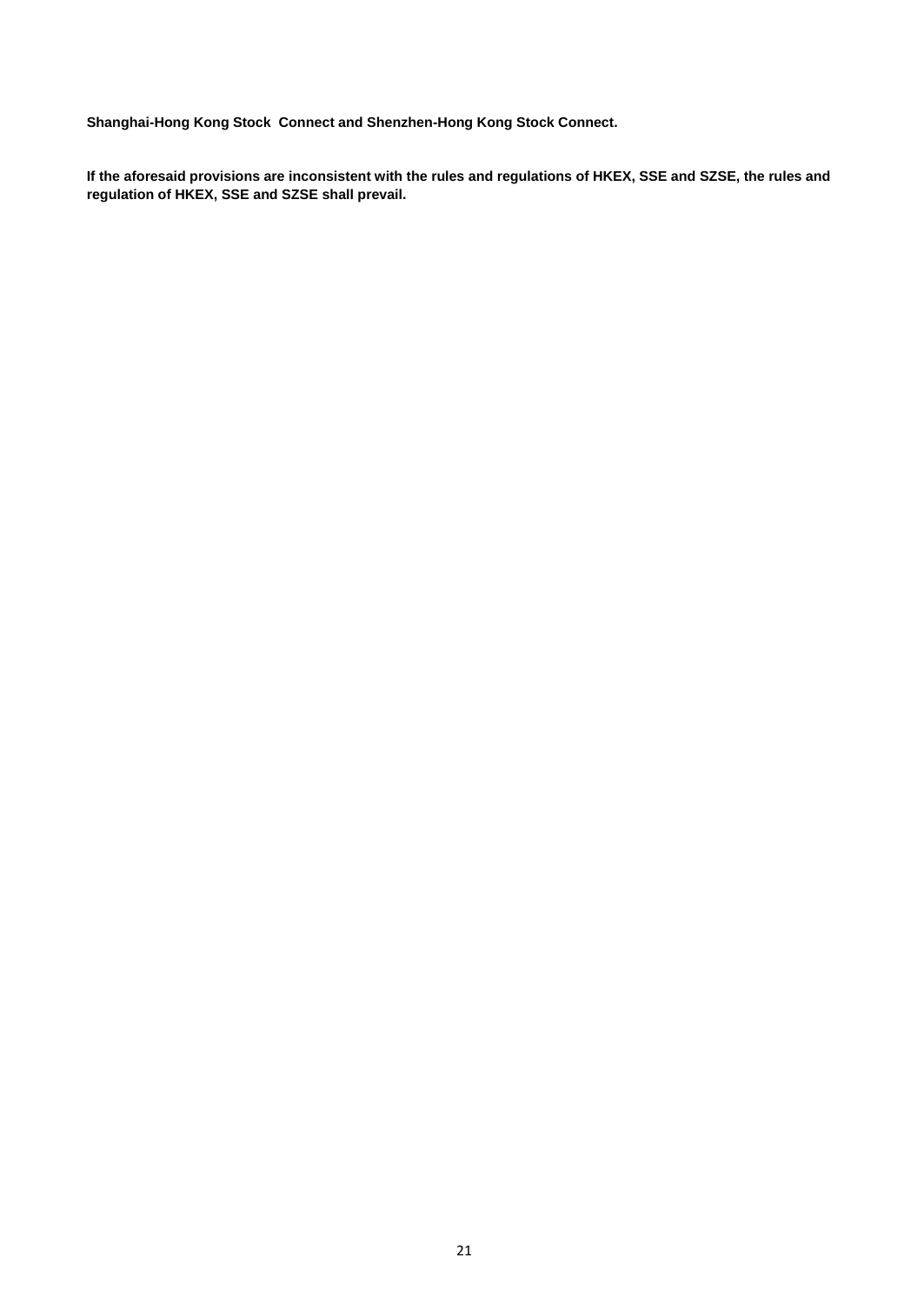**Shanghai-Hong Kong Stock Connect and Shenzhen-Hong Kong Stock Connect.**

**If the aforesaid provisions are inconsistent with the rules and regulations of HKEX, SSE and SZSE, the rules and regulation of HKEX, SSE and SZSE shall prevail.**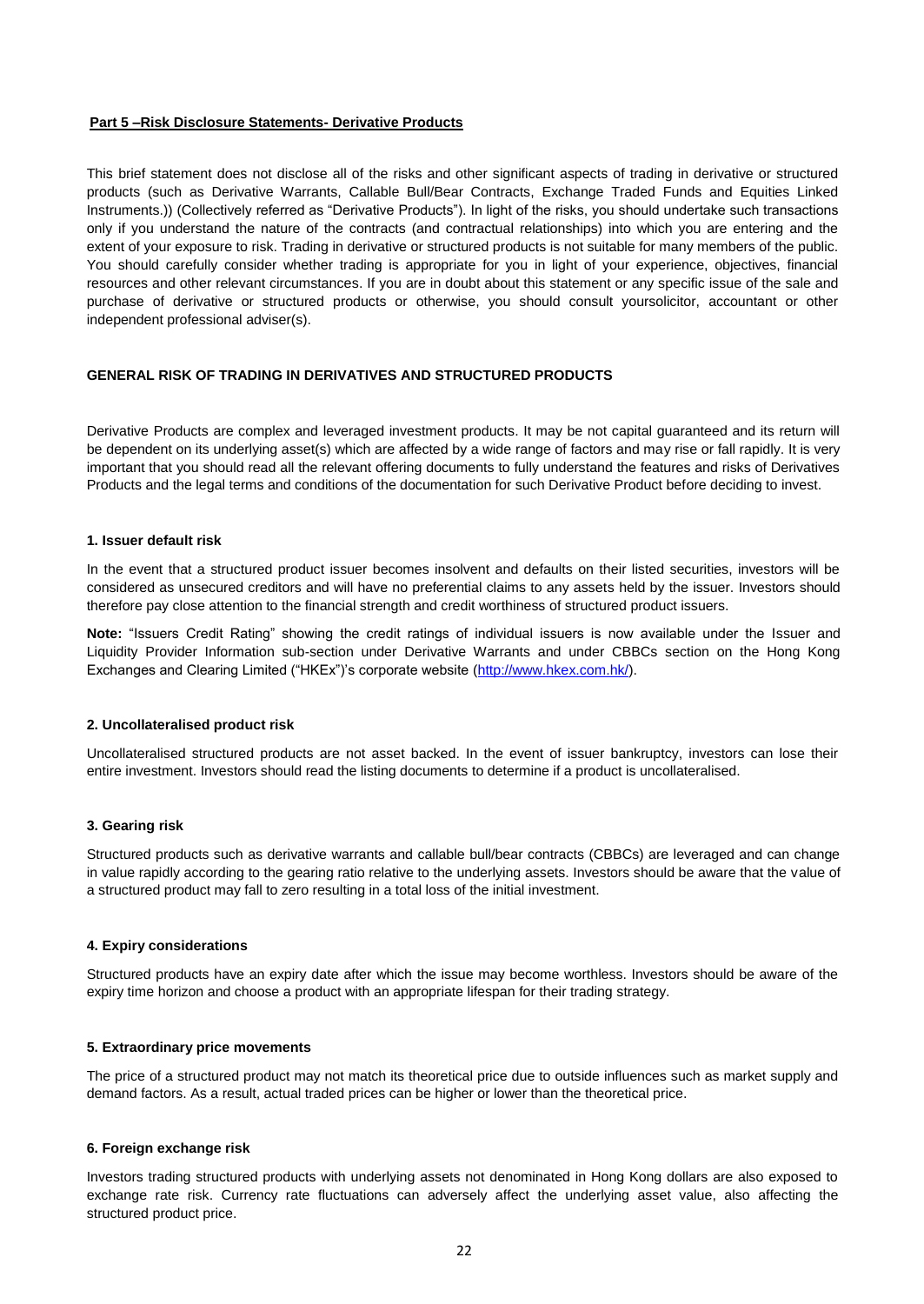# **Part 5 –Risk Disclosure Statements- Derivative Products**

This brief statement does not disclose all of the risks and other significant aspects of trading in derivative or structured products (such as Derivative Warrants, Callable Bull/Bear Contracts, Exchange Traded Funds and Equities Linked Instruments.)) (Collectively referred as "Derivative Products"). In light of the risks, you should undertake such transactions only if you understand the nature of the contracts (and contractual relationships) into which you are entering and the extent of your exposure to risk. Trading in derivative or structured products is not suitable for many members of the public. You should carefully consider whether trading is appropriate for you in light of your experience, objectives, financial resources and other relevant circumstances. If you are in doubt about this statement or any specific issue of the sale and purchase of derivative or structured products or otherwise, you should consult yoursolicitor, accountant or other independent professional adviser(s).

# **GENERAL RISK OF TRADING IN DERIVATIVES AND STRUCTURED PRODUCTS**

Derivative Products are complex and leveraged investment products. It may be not capital guaranteed and its return will be dependent on its underlying asset(s) which are affected by a wide range of factors and may rise or fall rapidly. It is very important that you should read all the relevant offering documents to fully understand the features and risks of Derivatives Products and the legal terms and conditions of the documentation for such Derivative Product before deciding to invest.

# **1. Issuer default risk**

In the event that a structured product issuer becomes insolvent and defaults on their listed securities, investors will be considered as unsecured creditors and will have no preferential claims to any assets held by the issuer. Investors should therefore pay close attention to the financial strength and credit worthiness of structured product issuers.

**Note:** "Issuers Credit Rating" showing the credit ratings of individual issuers is now available under the Issuer and Liquidity Provider Information sub-section under Derivative Warrants and under CBBCs section on the Hong Kong Exchanges and Clearing Limited ("HKEx")'s corporate website [\(http://www.hkex.com.hk/\).](http://www.hkex.com.hk/)

# **2. Uncollateralised product risk**

Uncollateralised structured products are not asset backed. In the event of issuer bankruptcy, investors can lose their entire investment. Investors should read the listing documents to determine if a product is uncollateralised.

# **3. Gearing risk**

Structured products such as derivative warrants and callable bull/bear contracts (CBBCs) are leveraged and can change in value rapidly according to the gearing ratio relative to the underlying assets. Investors should be aware that the value of a structured product may fall to zero resulting in a total loss of the initial investment.

# **4. Expiry considerations**

Structured products have an expiry date after which the issue may become worthless. Investors should be aware of the expiry time horizon and choose a product with an appropriate lifespan for their trading strategy.

# **5. Extraordinary price movements**

The price of a structured product may not match its theoretical price due to outside influences such as market supply and demand factors. As a result, actual traded prices can be higher or lower than the theoretical price.

# **6. Foreign exchange risk**

Investors trading structured products with underlying assets not denominated in Hong Kong dollars are also exposed to exchange rate risk. Currency rate fluctuations can adversely affect the underlying asset value, also affecting the structured product price.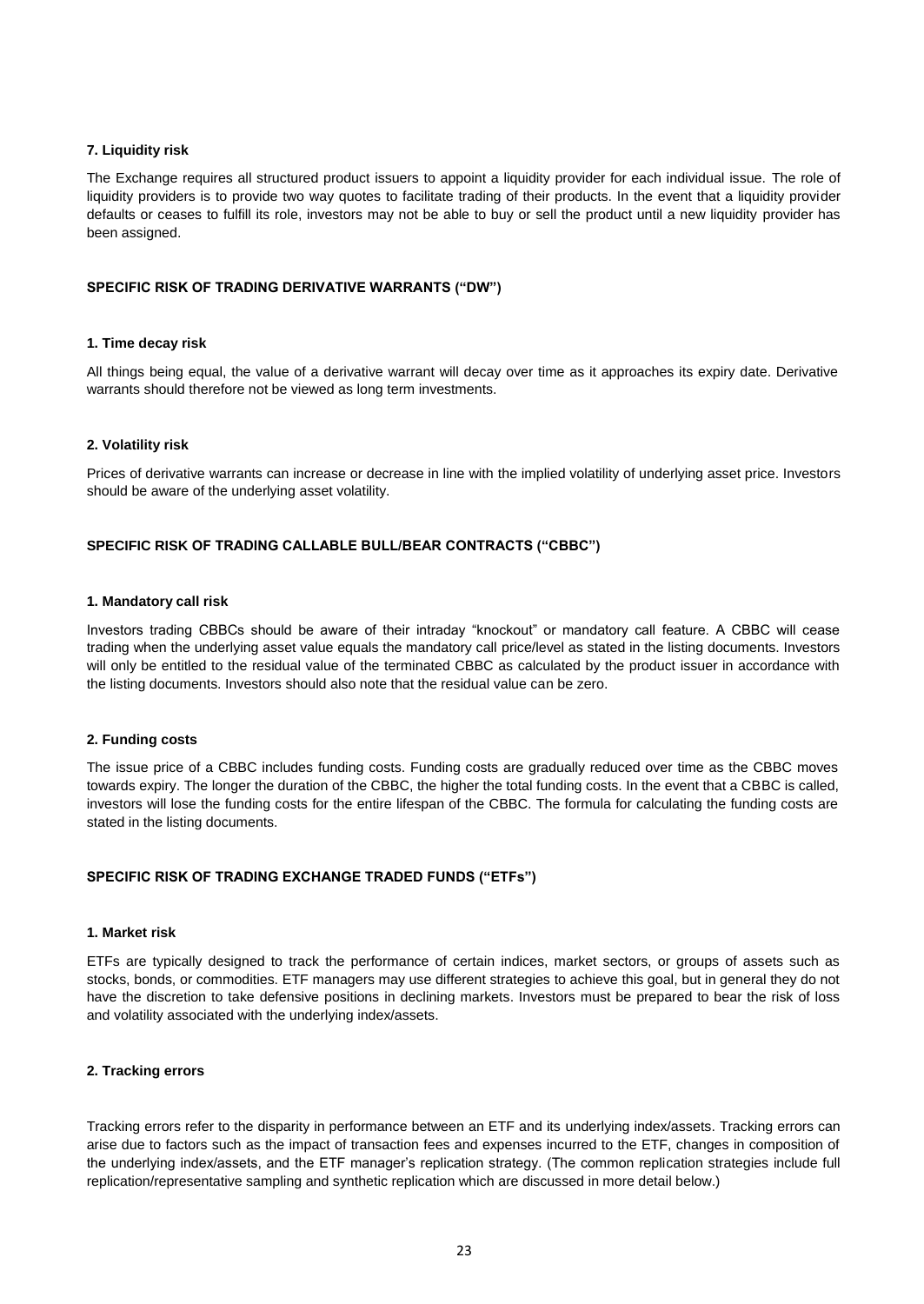# **7. Liquidity risk**

The Exchange requires all structured product issuers to appoint a liquidity provider for each individual issue. The role of liquidity providers is to provide two way quotes to facilitate trading of their products. In the event that a liquidity provider defaults or ceases to fulfill its role, investors may not be able to buy or sell the product until a new liquidity provider has been assigned.

# **SPECIFIC RISK OF TRADING DERIVATIVE WARRANTS ("DW")**

# **1. Time decay risk**

All things being equal, the value of a derivative warrant will decay over time as it approaches its expiry date. Derivative warrants should therefore not be viewed as long term investments.

# **2. Volatility risk**

Prices of derivative warrants can increase or decrease in line with the implied volatility of underlying asset price. Investors should be aware of the underlying asset volatility.

# **SPECIFIC RISK OF TRADING CALLABLE BULL/BEAR CONTRACTS ("CBBC")**

# **1. Mandatory call risk**

Investors trading CBBCs should be aware of their intraday "knockout" or mandatory call feature. A CBBC will cease trading when the underlying asset value equals the mandatory call price/level as stated in the listing documents. Investors will only be entitled to the residual value of the terminated CBBC as calculated by the product issuer in accordance with the listing documents. Investors should also note that the residual value can be zero.

# **2. Funding costs**

The issue price of a CBBC includes funding costs. Funding costs are gradually reduced over time as the CBBC moves towards expiry. The longer the duration of the CBBC, the higher the total funding costs. In the event that a CBBC is called, investors will lose the funding costs for the entire lifespan of the CBBC. The formula for calculating the funding costs are stated in the listing documents.

# **SPECIFIC RISK OF TRADING EXCHANGE TRADED FUNDS ("ETFs")**

# **1. Market risk**

ETFs are typically designed to track the performance of certain indices, market sectors, or groups of assets such as stocks, bonds, or commodities. ETF managers may use different strategies to achieve this goal, but in general they do not have the discretion to take defensive positions in declining markets. Investors must be prepared to bear the risk of loss and volatility associated with the underlying index/assets.

# **2. Tracking errors**

Tracking errors refer to the disparity in performance between an ETF and its underlying index/assets. Tracking errors can arise due to factors such as the impact of transaction fees and expenses incurred to the ETF, changes in composition of the underlying index/assets, and the ETF manager's replication strategy. (The common replication strategies include full replication/representative sampling and synthetic replication which are discussed in more detail below.)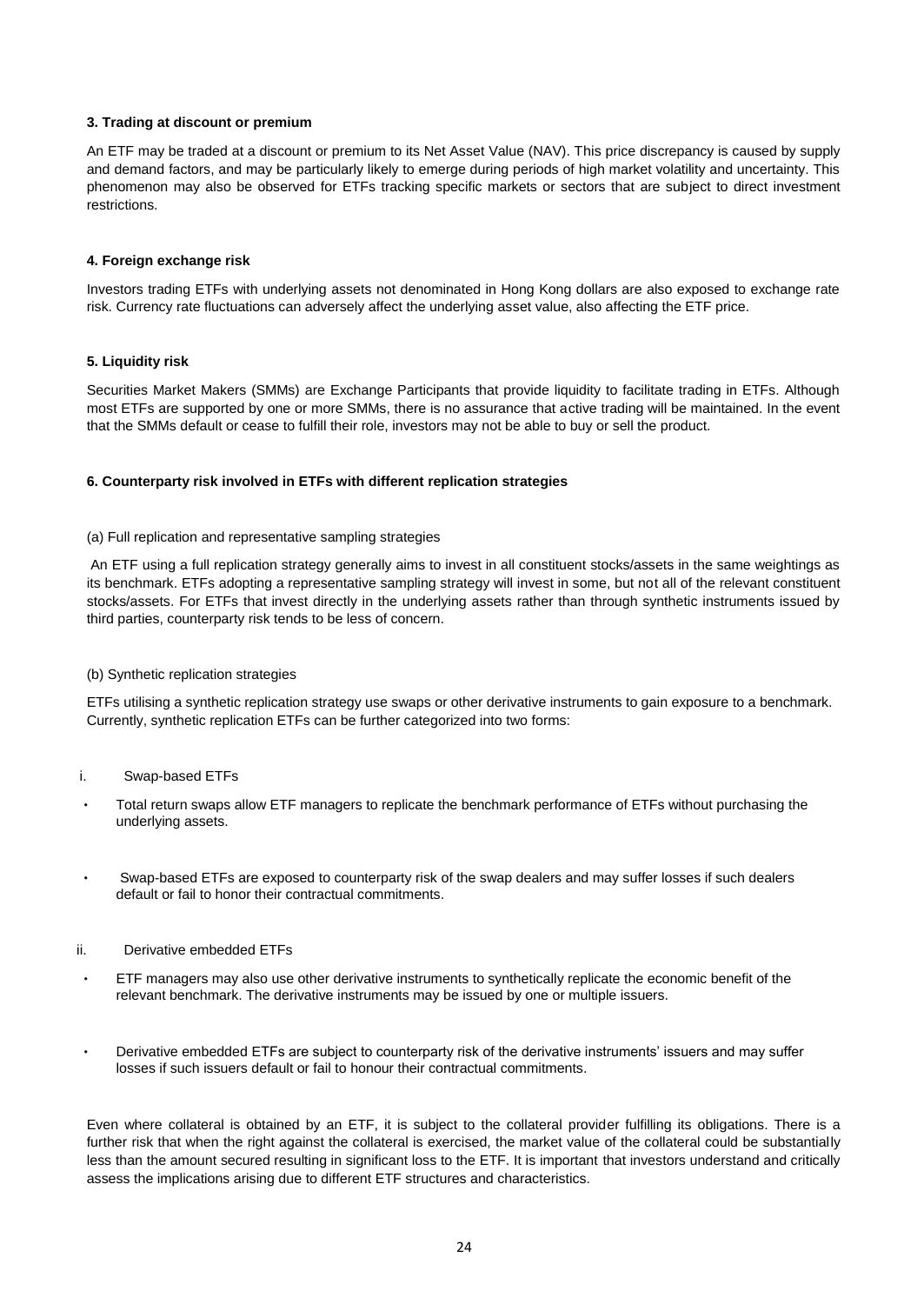# **3. Trading at discount or premium**

An ETF may be traded at a discount or premium to its Net Asset Value (NAV). This price discrepancy is caused by supply and demand factors, and may be particularly likely to emerge during periods of high market volatility and uncertainty. This phenomenon may also be observed for ETFs tracking specific markets or sectors that are subject to direct investment restrictions.

# **4. Foreign exchange risk**

Investors trading ETFs with underlying assets not denominated in Hong Kong dollars are also exposed to exchange rate risk. Currency rate fluctuations can adversely affect the underlying asset value, also affecting the ETF price.

# **5. Liquidity risk**

Securities Market Makers (SMMs) are Exchange Participants that provide liquidity to facilitate trading in ETFs. Although most ETFs are supported by one or more SMMs, there is no assurance that active trading will be maintained. In the event that the SMMs default or cease to fulfill their role, investors may not be able to buy or sell the product.

# **6. Counterparty risk involved in ETFs with different replication strategies**

# (a) Full replication and representative sampling strategies

An ETF using a full replication strategy generally aims to invest in all constituent stocks/assets in the same weightings as its benchmark. ETFs adopting a representative sampling strategy will invest in some, but not all of the relevant constituent stocks/assets. For ETFs that invest directly in the underlying assets rather than through synthetic instruments issued by third parties, counterparty risk tends to be less of concern.

# (b) Synthetic replication strategies

ETFs utilising a synthetic replication strategy use swaps or other derivative instruments to gain exposure to a benchmark. Currently, synthetic replication ETFs can be further categorized into two forms:

# i. Swap-based ETFs

- Total return swaps allow ETF managers to replicate the benchmark performance of ETFs without purchasing the underlying assets.
- Swap-based ETFs are exposed to counterparty risk of the swap dealers and may suffer losses if such dealers default or fail to honor their contractual commitments.

# ii. Derivative embedded ETFs

- ETF managers may also use other derivative instruments to synthetically replicate the economic benefit of the relevant benchmark. The derivative instruments may be issued by one or multiple issuers.
- Derivative embedded ETFs are subject to counterparty risk of the derivative instruments' issuers and may suffer losses if such issuers default or fail to honour their contractual commitments.

Even where collateral is obtained by an ETF, it is subject to the collateral provider fulfilling its obligations. There is a further risk that when the right against the collateral is exercised, the market value of the collateral could be substantially less than the amount secured resulting in significant loss to the ETF. It is important that investors understand and critically assess the implications arising due to different ETF structures and characteristics.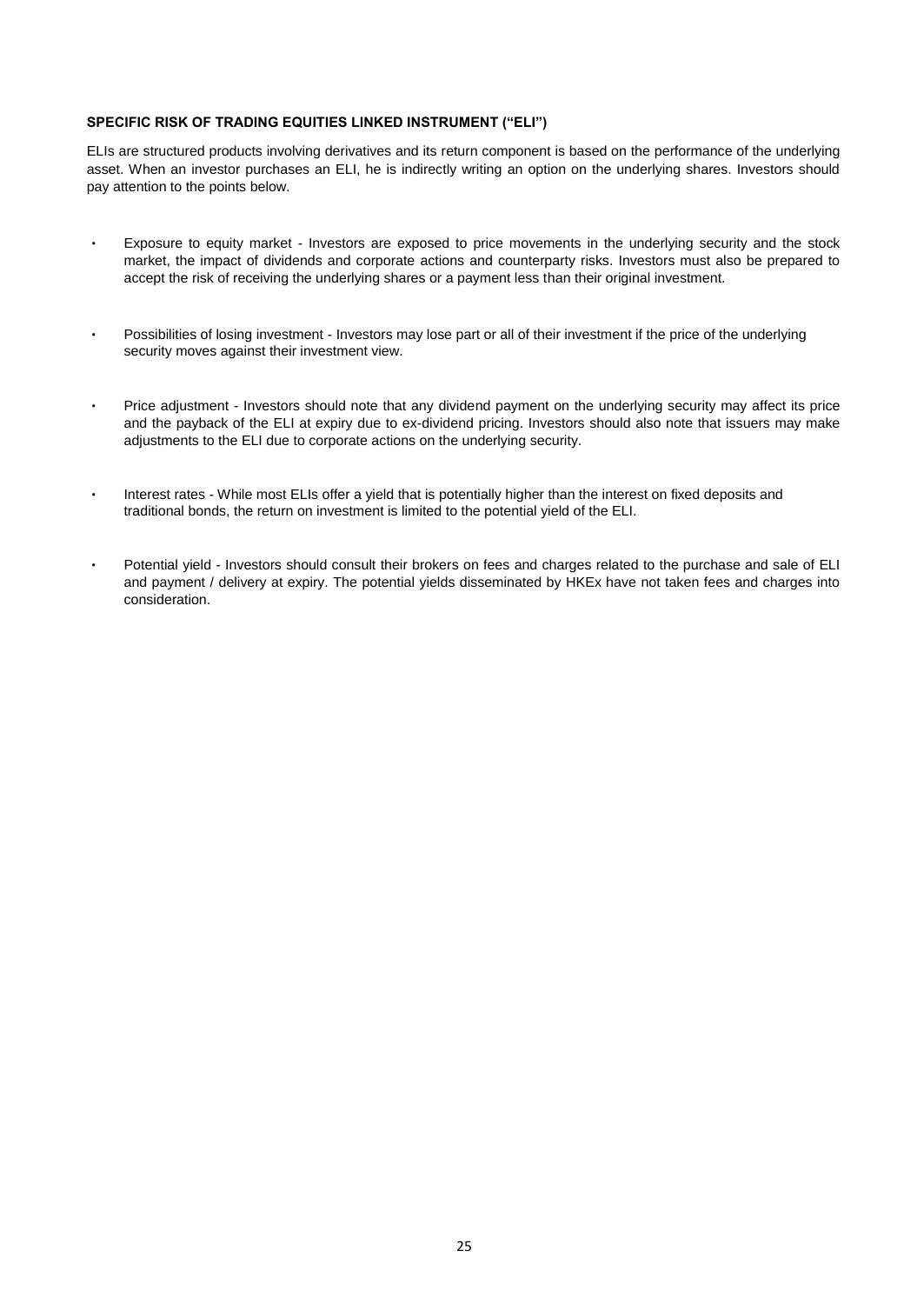# **SPECIFIC RISK OF TRADING EQUITIES LINKED INSTRUMENT ("ELI")**

ELIs are structured products involving derivatives and its return component is based on the performance of the underlying asset. When an investor purchases an ELI, he is indirectly writing an option on the underlying shares. Investors should pay attention to the points below.

- Exposure to equity market Investors are exposed to price movements in the underlying security and the stock market, the impact of dividends and corporate actions and counterparty risks. Investors must also be prepared to accept the risk of receiving the underlying shares or a payment less than their original investment.
- ‧ Possibilities of losing investment Investors may lose part or all of their investment if the price of the underlying security moves against their investment view.
- Price adjustment Investors should note that any dividend payment on the underlying security may affect its price and the payback of the ELI at expiry due to ex-dividend pricing. Investors should also note that issuers may make adjustments to the ELI due to corporate actions on the underlying security.
- ‧ Interest rates While most ELIs offer a yield that is potentially higher than the interest on fixed deposits and traditional bonds, the return on investment is limited to the potential yield of the ELI.
- Potential yield Investors should consult their brokers on fees and charges related to the purchase and sale of ELI and payment / delivery at expiry. The potential yields disseminated by HKEx have not taken fees and charges into consideration.